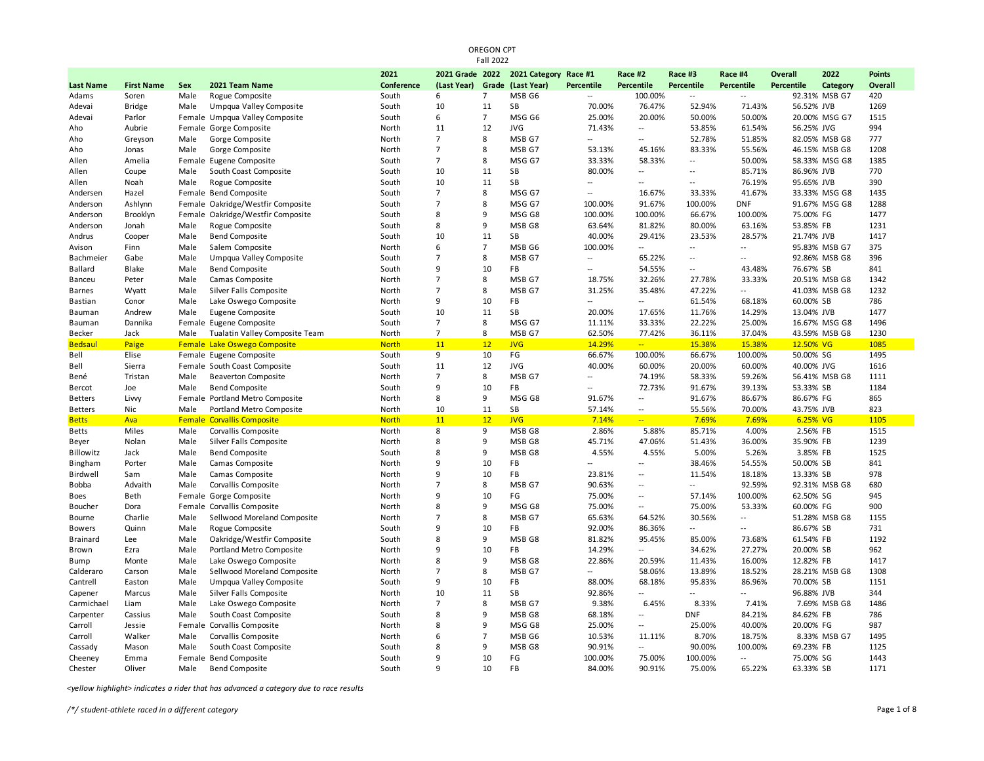| <b>Fall 2022</b> |                   |        |                                   |              |                 |                |                       |                          |                          |                          |                          |            |               |               |
|------------------|-------------------|--------|-----------------------------------|--------------|-----------------|----------------|-----------------------|--------------------------|--------------------------|--------------------------|--------------------------|------------|---------------|---------------|
|                  |                   |        |                                   | 2021         | 2021 Grade 2022 |                | 2021 Category Race #1 |                          | Race #2                  | Race #3                  | Race #4                  | Overall    | 2022          | <b>Points</b> |
| <b>Last Name</b> | <b>First Name</b> | Sex    | 2021 Team Name                    | Conference   | (Last Year)     |                | Grade (Last Year)     | Percentile               | Percentile               | <b>Percentile</b>        | Percentile               | Percentile | Category      | Overall       |
| Adams            | Soren             | Male   | Rogue Composite                   | South        | 6               | $\overline{7}$ | MSB G6                | $\overline{a}$           | 100.00%                  | $\overline{\phantom{a}}$ | $\overline{a}$           |            | 92.31% MSB G7 | 420           |
| Adevai           | <b>Bridge</b>     | Male   | Umpqua Valley Composite           | South        | 10              | 11             | SB                    | 70.00%                   | 76.47%                   | 52.94%                   | 71.43%                   | 56.52% JVB |               | 1269          |
| Adevai           | Parlor            |        | Female Umpqua Valley Composite    | South        | 6               | $\overline{7}$ | MSG G6                | 25.00%                   | 20.00%                   | 50.00%                   | 50.00%                   |            | 20.00% MSG G7 | 1515          |
| Aho              | Aubrie            |        | Female Gorge Composite            | North        | 11              | 12             | <b>JVG</b>            | 71.43%                   | $\overline{a}$           | 53.85%                   | 61.54%                   | 56.25% JVG |               | 994           |
| Aho              | Greyson           | Male   | Gorge Composite                   | North        | $\overline{7}$  | 8              | MSB G7                | $\overline{a}$           | $\overline{a}$           | 52.78%                   | 51.85%                   |            | 82.05% MSB G8 | 777           |
| Aho              | Jonas             | Male   | Gorge Composite                   | North        | $\overline{7}$  | 8              | MSB G7                | 53.13%                   | 45.16%                   | 83.33%                   | 55.56%                   |            | 46.15% MSB G8 | 1208          |
| Allen            | Amelia            |        | Female Eugene Composite           | South        | $\overline{7}$  | 8              | MSG G7                | 33.33%                   | 58.33%                   | $\overline{\phantom{a}}$ | 50.00%                   |            | 58.33% MSG G8 | 1385          |
| Allen            | Coupe             | Male   | South Coast Composite             | South        | 10              | 11             | SB                    | 80.00%                   | $\overline{\phantom{a}}$ | $\overline{\phantom{a}}$ | 85.71%                   | 86.96% JVB |               | 770           |
| Allen            | Noah              | Male   | Rogue Composite                   | South        | 10              | 11             | SB                    | $\overline{a}$           | $\overline{a}$           | $\overline{a}$           | 76.19%                   | 95.65% JVB |               | 390           |
| Andersen         | Hazel             |        | Female Bend Composite             | South        | $\overline{7}$  | 8              | MSG G7                | $\overline{a}$           | 16.67%                   | 33.33%                   | 41.67%                   |            | 33.33% MSG G8 | 1435          |
| Anderson         | Ashlynn           |        | Female Oakridge/Westfir Composite | South        | $\overline{7}$  | 8              | MSG G7                | 100.00%                  | 91.67%                   | 100.00%                  | <b>DNF</b>               |            | 91.67% MSG G8 | 1288          |
| Anderson         | Brooklyn          | Female | Oakridge/Westfir Composite        | South        | 8               | 9              | MSG G8                | 100.00%                  | 100.00%                  | 66.67%                   | 100.00%                  | 75.00% FG  |               | 1477          |
| Anderson         | Jonah             | Male   | Rogue Composite                   | South        | 8               | 9              | MSB G8                | 63.64%                   | 81.82%                   | 80.00%                   | 63.16%                   | 53.85% FB  |               | 1231          |
| Andrus           | Cooper            | Male   | <b>Bend Composite</b>             | South        | 10              | 11             | SB                    | 40.00%                   | 29.41%                   | 23.53%                   | 28.57%                   | 21.74% JVB |               | 1417          |
| Avison           | Finn              | Male   | Salem Composite                   | North        | 6               | $\overline{7}$ | MSB <sub>G6</sub>     | 100.00%                  | $\overline{a}$           | $\overline{a}$           | $\overline{a}$           |            | 95.83% MSB G7 | 375           |
| Bachmeier        | Gabe              | Male   | Umpqua Valley Composite           | South        | $\overline{7}$  | 8              | MSB G7                | --                       | 65.22%                   | $\overline{\phantom{a}}$ | $\overline{a}$           |            | 92.86% MSB G8 | 396           |
| Ballard          | Blake             | Male   | <b>Bend Composite</b>             | South        | 9               | 10             | <b>FB</b>             | $\overline{\phantom{a}}$ | 54.55%                   | $\overline{\phantom{a}}$ | 43.48%                   | 76.67% SB  |               | 841           |
| Banceu           | Peter             | Male   | Camas Composite                   | North        | $\overline{7}$  | 8              | MSB G7                | 18.75%                   | 32.26%                   | 27.78%                   | 33.33%                   |            | 20.51% MSB G8 | 1342          |
| <b>Barnes</b>    | Wyatt             | Male   | Silver Falls Composite            | North        | $\overline{7}$  | 8              | MSB <sub>G7</sub>     | 31.25%                   | 35.48%                   | 47.22%                   | $\overline{\phantom{a}}$ |            | 41.03% MSB G8 | 1232          |
| Bastian          | Conor             | Male   | Lake Oswego Composite             | North        | 9               | 10             | FB                    | Ξ.                       | $\overline{\phantom{a}}$ | 61.54%                   | 68.18%                   | 60.00% SB  |               | 786           |
| Bauman           | Andrew            | Male   | Eugene Composite                  | South        | 10              | 11             | SB                    | 20.00%                   | 17.65%                   | 11.76%                   | 14.29%                   | 13.04% JVB |               | 1477          |
| Bauman           | Dannika           |        | Female Eugene Composite           | South        | $\overline{7}$  | 8              | MSG G7                | 11.11%                   | 33.33%                   | 22.22%                   | 25.00%                   |            | 16.67% MSG G8 | 1496          |
| Becker           | Jack              | Male   | Tualatin Valley Composite Team    | North        | $\overline{7}$  | 8              | MSB G7                | 62.50%                   | 77.42%                   | 36.11%                   | 37.04%                   |            | 43.59% MSB G8 | 1230          |
| <b>Bedsaul</b>   | Paige             | Female | Lake Oswego Composite             | <b>North</b> | 11              | 12             | <b>JVG</b>            | 14.29%                   | $\sim$                   | 15.38%                   | 15.38%                   | 12.50% VG  |               | 1085          |
| Bell             | Elise             |        | Female Eugene Composite           | South        | 9               | 10             | FG                    | 66.67%                   | 100.00%                  | 66.67%                   | 100.00%                  | 50.00% SG  |               | 1495          |
| Bell             | Sierra            |        | Female South Coast Composite      | South        | 11              | 12             | <b>JVG</b>            | 40.00%                   | 60.00%                   | 20.00%                   | 60.00%                   | 40.00% JVG |               | 1616          |
| Bené             | Tristan           | Male   | <b>Beaverton Composite</b>        | North        | $\overline{7}$  | 8              | MSB G7                | $\overline{a}$           | 74.19%                   | 58.33%                   | 59.26%                   |            | 56.41% MSB G8 | 1111          |
| Bercot           | Joe               | Male   | <b>Bend Composite</b>             | South        | 9               | 10             | FB                    |                          | 72.73%                   | 91.67%                   | 39.13%                   | 53.33% SB  |               | 1184          |
| <b>Betters</b>   | Livvy             |        | Female Portland Metro Composite   | North        | 8               | 9              | MSG G8                | 91.67%                   | $\sim$                   | 91.67%                   | 86.67%                   | 86.67% FG  |               | 865           |
| <b>Betters</b>   | Nic               | Male   | Portland Metro Composite          | North        | 10              | 11             | SB                    | 57.14%                   | $\overline{\phantom{a}}$ | 55.56%                   | 70.00%                   | 43.75% JVB |               | 823           |
| <b>Betts</b>     | Ava               | Female | <b>Corvallis Composite</b>        | <b>North</b> | 11              | 12             | <b>JVG</b>            | 7.14%                    | $\sim$                   | 7.69%                    | 7.69%                    | 6.25% VG   |               | 1105          |
| <b>Betts</b>     | Miles             | Male   | Corvallis Composite               | North        | 8               | 9              | MSB G8                | 2.86%                    | 5.88%                    | 85.71%                   | 4.00%                    | 2.56% FB   |               | 1515          |
| Beyer            | Nolan             | Male   | Silver Falls Composite            | North        | 8               | 9              | MSB <sub>G8</sub>     | 45.71%                   | 47.06%                   | 51.43%                   | 36.00%                   | 35.90% FB  |               | 1239          |
| Billowitz        | Jack              | Male   | <b>Bend Composite</b>             | South        | 8               | 9              | MSB <sub>G8</sub>     | 4.55%                    | 4.55%                    | 5.00%                    | 5.26%                    | 3.85% FB   |               | 1525          |
| Bingham          | Porter            | Male   | Camas Composite                   | North        | 9               | 10             | FB                    | $\overline{a}$           | $\overline{\phantom{a}}$ | 38.46%                   | 54.55%                   | 50.00% SB  |               | 841           |
| Birdwell         | Sam               | Male   | Camas Composite                   | North        | 9               | 10             | FB                    | 23.81%                   | $\overline{\phantom{a}}$ | 11.54%                   | 18.18%                   | 13.33% SB  |               | 978           |
| Bobba            | Advaith           | Male   | Corvallis Composite               | North        | $\overline{7}$  | 8              | MSB G7                | 90.63%                   | $\overline{\phantom{a}}$ | $\overline{\phantom{a}}$ | 92.59%                   |            | 92.31% MSB G8 | 680           |
| Boes             | Beth              |        | Female Gorge Composite            | North        | 9               | 10             | FG                    | 75.00%                   | $\overline{a}$           | 57.14%                   | 100.00%                  | 62.50% SG  |               | 945           |
| Boucher          | Dora              |        | Female Corvallis Composite        | North        | 8               | 9              | MSG G8                | 75.00%                   | $\overline{\phantom{a}}$ | 75.00%                   | 53.33%                   | 60.00% FG  |               | 900           |
| Bourne           | Charlie           | Male   | Sellwood Moreland Composite       | North        | $\overline{7}$  | 8              | MSB <sub>G7</sub>     | 65.63%                   | 64.52%                   | 30.56%                   |                          |            | 51.28% MSB G8 | 1155          |
| <b>Bowers</b>    | Quinn             | Male   | Rogue Composite                   | South        | 9               | 10             | <b>FB</b>             | 92.00%                   | 86.36%                   | $\overline{\phantom{a}}$ | $\overline{a}$           | 86.67% SB  |               | 731           |
| <b>Brainard</b>  | Lee               | Male   | Oakridge/Westfir Composite        | South        | $\mathbf{R}$    | 9              | MSB G8                | 81.82%                   | 95.45%                   | 85.00%                   | 73.68%                   | 61.54% FB  |               | 1192          |
| Brown            | Ezra              | Male   | Portland Metro Composite          | North        | 9               | 10             | FB                    | 14.29%                   | $\overline{a}$           | 34.62%                   | 27.27%                   | 20.00% SB  |               | 962           |
| Bump             | Monte             | Male   | Lake Oswego Composite             | North        | 8               | 9              | MSB G8                | 22.86%                   | 20.59%                   | 11.43%                   | 16.00%                   | 12.82% FB  |               | 1417          |
| Calderaro        | Carson            | Male   | Sellwood Moreland Composite       | North        | $\overline{7}$  | 8              | MSB G7                | $\overline{a}$           | 58.06%                   | 13.89%                   | 18.52%                   |            | 28.21% MSB G8 | 1308          |
| Cantrell         | Easton            | Male   | Umpqua Valley Composite           | South        | 9               | 10             | FB                    | 88.00%                   | 68.18%                   | 95.83%                   | 86.96%                   | 70.00% SB  |               | 1151          |
| Capener          | Marcus            | Male   | Silver Falls Composite            | North        | 10              | 11             | SB                    | 92.86%                   | $\overline{\phantom{a}}$ | $\overline{\phantom{a}}$ | $\overline{a}$           | 96.88% JVB |               | 344           |
| Carmichael       | Liam              | Male   | Lake Oswego Composite             | North        | $\overline{7}$  | 8              | MSB G7                | 9.38%                    | 6.45%                    | 8.33%                    | 7.41%                    |            | 7.69% MSB G8  | 1486          |
| Carpenter        | Cassius           | Male   | South Coast Composite             | South        | 8               | 9              | MSB <sub>G8</sub>     | 68.18%                   | $\overline{a}$           | <b>DNF</b>               | 84.21%                   | 84.62% FB  |               | 786           |
| Carroll          | Jessie            | Female | Corvallis Composite               | North        | 8               | 9              | MSG G8                | 25.00%                   | $\overline{\phantom{a}}$ | 25.00%                   | 40.00%                   | 20.00% FG  |               | 987           |
| Carroll          | Walker            | Male   | Corvallis Composite               | North        | 6               | $\overline{7}$ | MSB G6                | 10.53%                   | 11.11%                   | 8.70%                    | 18.75%                   |            | 8.33% MSB G7  | 1495          |
| Cassady          | Mason             | Male   | South Coast Composite             | South        | 8               | 9              | MSB G8                | 90.91%                   | $\overline{a}$           | 90.00%                   | 100.00%                  | 69.23% FB  |               | 1125          |
| Cheeney          | Emma              | Female | <b>Bend Composite</b>             | South        | 9               | 10             | FG                    | 100.00%                  | 75.00%                   | 100.00%                  | $\overline{a}$           | 75.00% SG  |               | 1443          |
| Chester          | Oliver            | Male   | <b>Bend Composite</b>             | South        | 9               | 10             | FB                    | 84.00%                   | 90.91%                   | 75.00%                   | 65.22%                   | 63.33% SB  |               | 1171          |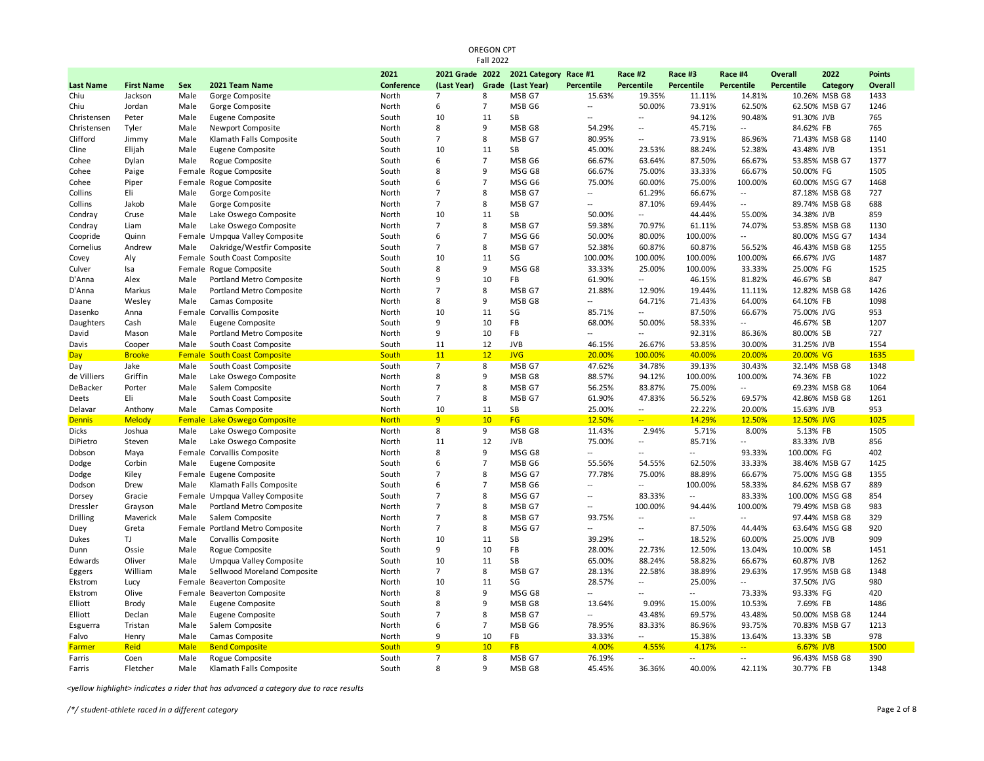| <b>Fall 2022</b> |                   |             |                              |              |                   |                |                       |                          |                |                   |                |            |                |               |
|------------------|-------------------|-------------|------------------------------|--------------|-------------------|----------------|-----------------------|--------------------------|----------------|-------------------|----------------|------------|----------------|---------------|
|                  |                   |             |                              | 2021         | 2021 Grade 2022   |                | 2021 Category Race #1 |                          | Race #2        | Race #3           | Race #4        | Overall    | 2022           | <b>Points</b> |
| <b>Last Name</b> | <b>First Name</b> | Sex         | 2021 Team Name               | Conference   | (Last Year) Grade |                | (Last Year)           | Percentile               | Percentile     | <b>Percentile</b> | Percentile     | Percentile | Category       | Overall       |
| Chiu             | Jackson           | Male        | Gorge Composite              | North        | $\overline{7}$    | 8              | MSB G7                | 15.63%                   | 19.35%         | 11.11%            | 14.81%         |            | 10.26% MSB G8  | 1433          |
| Chiu             | Jordan            | Male        | Gorge Composite              | North        | 6                 | $\overline{7}$ | MSB G6                | $\overline{a}$           | 50.00%         | 73.91%            | 62.50%         |            | 62.50% MSB G7  | 1246          |
| Christensen      | Peter             | Male        | Eugene Composite             | South        | 10                | 11             | <b>SB</b>             | --                       | --             | 94.12%            | 90.48%         | 91.30% JVB |                | 765           |
| Christensen      | Tyler             | Male        | Newport Composite            | North        | 8                 | 9              | MSB G8                | 54.29%                   | $\overline{a}$ | 45.71%            | $\overline{a}$ | 84.62% FB  |                | 765           |
| Clifford         | Jimmy             | Male        | Klamath Falls Composite      | South        | $\overline{7}$    | 8              | MSB G7                | 80.95%                   | $\overline{a}$ | 73.91%            | 86.96%         |            | 71.43% MSB G8  | 1140          |
| Cline            | Elijah            | Male        | Eugene Composite             | South        | 10                | 11             | SB                    | 45.00%                   | 23.53%         | 88.24%            | 52.38%         | 43.48% JVB |                | 1351          |
| Cohee            | Dylan             | Male        | Rogue Composite              | South        | 6                 | $\overline{7}$ | MSB <sub>G6</sub>     | 66.67%                   | 63.64%         | 87.50%            | 66.67%         |            | 53.85% MSB G7  | 1377          |
| Cohee            | Paige             | Female      | Rogue Composite              | South        | $\mathbf{R}$      | 9              | MSG G8                | 66.67%                   | 75.00%         | 33.33%            | 66.67%         | 50.00% FG  |                | 1505          |
| Cohee            | Piper             | Female      | Rogue Composite              | South        | 6                 | $\overline{7}$ | MSG G6                | 75.00%                   | 60.00%         | 75.00%            | 100.00%        |            | 60.00% MSG G7  | 1468          |
| Collins          | Eli               | Male        | Gorge Composite              | North        | $\overline{7}$    | 8              | MSB G7                | --                       | 61.29%         | 66.67%            | $\overline{a}$ |            | 87.18% MSB G8  | 727           |
| Collins          | Jakob             | Male        | Gorge Composite              | North        | $\overline{7}$    | 8              | MSB G7                | --                       | 87.10%         | 69.44%            | $\overline{a}$ |            | 89.74% MSB G8  | 688           |
| Condray          | Cruse             | Male        | Lake Oswego Composite        | North        | 10                | 11             | SB                    | 50.00%                   | --             | 44.44%            | 55.00%         | 34.38% JVB |                | 859           |
| Condray          | Liam              | Male        | Lake Oswego Composite        | North        | $\overline{7}$    | 8              | MSB G7                | 59.38%                   | 70.97%         | 61.11%            | 74.07%         |            | 53.85% MSB G8  | 1130          |
| Coopride         | Quinn             | Female      | Umpqua Valley Composite      | South        | 6                 | $\overline{7}$ | MSG G6                | 50.00%                   | 80.00%         | 100.00%           | $\overline{a}$ |            | 80.00% MSG G7  | 1434          |
| Cornelius        | Andrew            | Male        | Oakridge/Westfir Composite   | South        | $\overline{7}$    | 8              | MSB G7                | 52.38%                   | 60.87%         | 60.87%            | 56.52%         |            | 46.43% MSB G8  | 1255          |
| Covey            | Aly               | Female      | South Coast Composite        | South        | 10                | 11             | SG                    | 100.00%                  | 100.00%        | 100.00%           | 100.00%        | 66.67% JVG |                | 1487          |
| Culver           | Isa               | Female      | Rogue Composite              | South        | 8                 | 9              | MSG G8                | 33.33%                   | 25.00%         | 100.00%           | 33.33%         | 25.00% FG  |                | 1525          |
| D'Anna           | Alex              | Male        | Portland Metro Composite     | North        | 9                 | 10             | FB                    | 61.90%                   | $\overline{a}$ | 46.15%            | 81.82%         | 46.67% SB  |                | 847           |
| D'Anna           | Markus            | Male        | Portland Metro Composite     | North        | $\overline{7}$    | 8              | MSB G7                | 21.88%                   | 12.90%         | 19.44%            | 11.11%         |            | 12.82% MSB G8  | 1426          |
| Daane            | Wesley            | Male        | Camas Composite              | North        | 8                 | 9              | MSB G8                | $\overline{\phantom{a}}$ | 64.71%         | 71.43%            | 64.00%         | 64.10% FB  |                | 1098          |
| Dasenko          | Anna              | Female      | Corvallis Composite          | North        | 10                | 11             | SG                    | 85.71%                   | --             | 87.50%            | 66.67%         | 75.00% JVG |                | 953           |
| Daughters        | Cash              | Male        | Eugene Composite             | South        | 9                 | 10             | FB                    | 68.00%                   | 50.00%         | 58.33%            | $\overline{a}$ | 46.67% SB  |                | 1207          |
| David            | Mason             | Male        | Portland Metro Composite     | North        | 9                 | 10             | FB                    | $\sim$                   | $\overline{a}$ | 92.31%            | 86.36%         | 80.00% SB  |                | 727           |
| Davis            | Cooper            | Male        | South Coast Composite        | South        | 11                | 12             | <b>JVB</b>            | 46.15%                   | 26.67%         | 53.85%            | 30.00%         | 31.25% JVB |                | 1554          |
| <b>Day</b>       | <b>Brooke</b>     | Female      | <b>South Coast Composite</b> | South        | 11                | 12             | <b>JVG</b>            | 20.00%                   | 100.00%        | 40.00%            | 20.00%         | 20.00% VG  |                | 1635          |
| Day              | Jake              | Male        | South Coast Composite        | South        | $\overline{7}$    | 8              | MSB G7                | 47.62%                   | 34.78%         | 39.13%            | 30.43%         |            | 32.14% MSB G8  | 1348          |
| de Villiers      | Griffin           | Male        | Lake Oswego Composite        | North        | 8                 | 9              | MSB G8                | 88.57%                   | 94.12%         | 100.00%           | 100.00%        | 74.36% FB  |                | 1022          |
| DeBacker         | Porter            | Male        | Salem Composite              | North        | $\overline{7}$    | 8              | MSB G7                | 56.25%                   | 83.87%         | 75.00%            | $\overline{a}$ |            | 69.23% MSB G8  | 1064          |
| Deets            | Eli               | Male        | South Coast Composite        | South        | $\overline{7}$    | 8              | MSB G7                | 61.90%                   | 47.83%         | 56.52%            | 69.57%         |            | 42.86% MSB G8  | 1261          |
| Delavar          | Anthony           | Male        | Camas Composite              | North        | 10                | 11             | SB                    | 25.00%                   | $\overline{a}$ | 22.22%            | 20.00%         | 15.63% JVB |                | 953           |
| <b>Dennis</b>    | <b>Melody</b>     | Female      | <b>Lake Oswego Composite</b> | <b>North</b> | 9                 | 10             | FG                    | 12.50%                   | $-1$           | 14.29%            | 12.50%         | 12.50% JVG |                | 1025          |
| Dicks            | Joshua            | Male        | Lake Oswego Composite        | North        | 8                 | 9              | MSB G8                | 11.43%                   | 2.94%          | 5.71%             | 8.00%          | 5.13% FB   |                | 1505          |
| DiPietro         | Steven            | Male        | Lake Oswego Composite        | North        | 11                | 12             | <b>JVB</b>            | 75.00%                   | --             | 85.71%            | $-$            | 83.33% JVB |                | 856           |
| Dobson           | Maya              | Female      | Corvallis Composite          | North        | 8                 | 9              | MSG G8                | --                       | $\overline{a}$ | $\overline{a}$    | 93.33%         | 100.00% FG |                | 402           |
| Dodge            | Corbin            | Male        | Eugene Composite             | South        | 6                 | $\overline{7}$ | MSB G6                | 55.56%                   | 54.55%         | 62.50%            | 33.33%         |            | 38.46% MSB G7  | 1425          |
| Dodge            | Kiley             |             | Female Eugene Composite      | South        | $\overline{7}$    | 8              | MSG G7                | 77.78%                   | 75.00%         | 88.89%            | 66.67%         |            | 75.00% MSG G8  | 1355          |
| Dodson           | Drew              | Male        | Klamath Falls Composite      | South        | 6                 | $\overline{7}$ | MSB G6                | --                       | $\overline{a}$ | 100.00%           | 58.33%         |            | 84.62% MSB G7  | 889           |
| Dorsey           | Gracie            | Female      | Umpqua Valley Composite      | South        | $\overline{7}$    | 8              | MSG G7                | --                       | 83.33%         | $\overline{a}$    | 83.33%         |            | 100.00% MSG G8 | 854           |
| Dressler         | Grayson           | Male        | Portland Metro Composite     | North        | $\overline{7}$    | 8              | MSB G7                | $\overline{a}$           | 100.00%        | 94.44%            | 100.00%        |            | 79.49% MSB G8  | 983           |
| <b>Drilling</b>  | Maverick          | Male        | Salem Composite              | North        | $\overline{7}$    | 8              | MSB G7                | 93.75%                   | $\overline{a}$ | $\overline{a}$    | $\overline{a}$ |            | 97.44% MSB G8  | 329           |
| Duey             | Greta             | Female      | Portland Metro Composite     | North        | $\overline{7}$    | 8              | MSG G7                | $-$                      | Ξ.             | 87.50%            | 44.44%         |            | 63.64% MSG G8  | 920           |
| Dukes            | TJ                | Male        | Corvallis Composite          | North        | 10                | 11             | SB                    | 39.29%                   |                | 18.52%            | 60.00%         | 25.00% JVB |                | 909           |
| Dunn             | Ossie             | Male        | Rogue Composite              | South        | 9                 | 10             | FB                    | 28.00%                   | 22.73%         | 12.50%            | 13.04%         | 10.00% SB  |                | 1451          |
| Edwards          | Oliver            | Male        | Umpqua Valley Composite      | South        | 10                | 11             | SB                    | 65.00%                   | 88.24%         | 58.82%            | 66.67%         | 60.87% JVB |                | 1262          |
| Eggers           | William           | Male        | Sellwood Moreland Composite  | North        | $\overline{7}$    | 8              | MSB G7                | 28.13%                   | 22.58%         | 38.89%            | 29.63%         |            | 17.95% MSB G8  | 1348          |
| Ekstrom          | Lucy              | Female      | <b>Beaverton Composite</b>   | North        | 10                | 11             | SG                    | 28.57%                   | --             | 25.00%            | --             | 37.50% JVG |                | 980           |
| Ekstrom          | Olive             | Female      | <b>Beaverton Composite</b>   | North        | 8                 | 9              | MSG G8                | $-$                      | $\overline{a}$ | $\overline{a}$    | 73.33%         | 93.33% FG  |                | 420           |
| Elliott          | <b>Brody</b>      | Male        | Eugene Composite             | South        | 8                 | 9              | MSB G8                | 13.64%                   | 9.09%          | 15.00%            | 10.53%         | 7.69% FB   |                | 1486          |
| Elliott          | Declan            | Male        | Eugene Composite             | South        | $\overline{7}$    | 8              | MSB G7                | $\overline{a}$           | 43.48%         | 69.57%            | 43.48%         |            | 50.00% MSB G8  | 1244          |
| Esguerra         | Tristan           | Male        | Salem Composite              | North        | 6                 | $\overline{7}$ | MSB G6                | 78.95%                   | 83.33%         | 86.96%            | 93.75%         |            | 70.83% MSB G7  | 1213          |
| Falvo            | Henry             | Male        | Camas Composite              | North        | 9                 | 10             | FB                    | 33.33%                   | --             | 15.38%            | 13.64%         | 13.33% SB  |                | 978           |
| Farmer           | <b>Reid</b>       | <b>Male</b> | <b>Bend Composite</b>        | South        | 9                 | 10             | <b>FB</b>             | 4.00%                    | 4.55%          | 4.17%             | $\frac{1}{2}$  | 6.67% JVB  |                | 1500          |
| Farris           | Coen              | Male        | Rogue Composite              | South        | $\overline{7}$    | 8              | MSB G7                | 76.19%                   | $\overline{a}$ | $\overline{a}$    | $\overline{a}$ |            | 96.43% MSB G8  | 390           |
| Farris           | Fletcher          | Male        | Klamath Falls Composite      | South        | 8                 | 9              | MSB G8                | 45.45%                   | 36.36%         | 40.00%            | 42.11%         | 30.77% FB  |                | 1348          |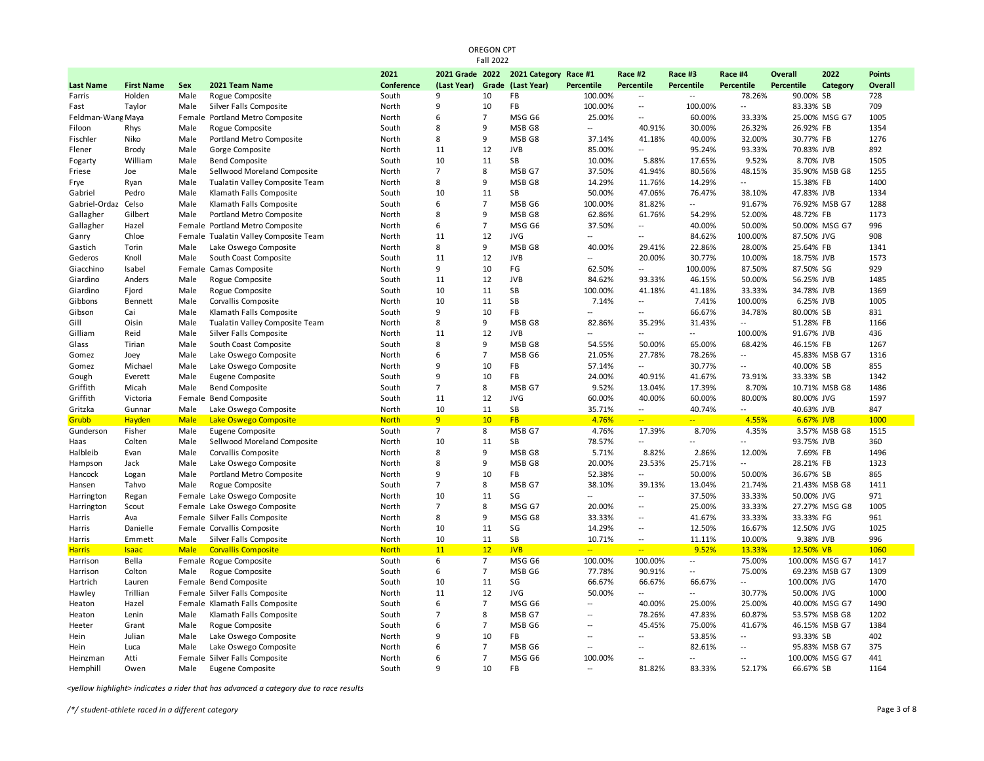| Fall 2022         |                   |             |                                       |              |                               |                |                       |                |                          |                          |                          |                   |                |               |
|-------------------|-------------------|-------------|---------------------------------------|--------------|-------------------------------|----------------|-----------------------|----------------|--------------------------|--------------------------|--------------------------|-------------------|----------------|---------------|
|                   |                   |             |                                       | 2021         | 2021 Grade 2022               |                | 2021 Category Race #1 |                | Race #2                  | Race #3                  | Race #4                  | Overall           | 2022           | <b>Points</b> |
| <b>Last Name</b>  | <b>First Name</b> | Sex         | 2021 Team Name                        | Conference   | (Last Year) Grade (Last Year) |                |                       | Percentile     | Percentile               | Percentile               | Percentile               | <b>Percentile</b> | Category       | Overall       |
| Farris            | Holden            | Male        | Rogue Composite                       | South        | 9                             | 10             | FB                    | 100.00%        | $\overline{\phantom{a}}$ |                          | 78.26%                   | 90.00% SB         |                | 728           |
| Fast              | Taylor            | Male        | Silver Falls Composite                | North        | 9                             | 10             | <b>FB</b>             | 100.00%        | $\overline{\phantom{a}}$ | 100.00%                  | $\overline{\phantom{a}}$ | 83.33% SB         |                | 709           |
| Feldman-Wang Maya |                   | Female      | Portland Metro Composite              | North        | 6                             | $\overline{7}$ | MSG G6                | 25.00%         | $\overline{\phantom{a}}$ | 60.00%                   | 33.33%                   |                   | 25.00% MSG G7  | 1005          |
| Filoon            | Rhys              | Male        | Rogue Composite                       | South        | 8                             | 9              | MSB G8                | Щ.             | 40.91%                   | 30.00%                   | 26.32%                   | 26.92% FB         |                | 1354          |
| Fischler          | Niko              | Male        | Portland Metro Composite              | North        | 8                             | 9              | MSB G8                | 37.14%         | 41.18%                   | 40.00%                   | 32.00%                   | 30.77% FB         |                | 1276          |
| Flener            | Brody             | Male        | Gorge Composite                       | North        | 11                            | 12             | <b>JVB</b>            | 85.00%         | $\overline{\phantom{a}}$ | 95.24%                   | 93.33%                   | 70.83% JVB        |                | 892           |
| Fogarty           | William           | Male        | <b>Bend Composite</b>                 | South        | 10                            | 11             | SB                    | 10.00%         | 5.88%                    | 17.65%                   | 9.52%                    | 8.70% JVB         |                | 1505          |
| Friese            | Joe               | Male        | Sellwood Moreland Composite           | North        | $\overline{7}$                | 8              | MSB G7                | 37.50%         | 41.94%                   | 80.56%                   | 48.15%                   |                   | 35.90% MSB G8  | 1255          |
| Frye              | Ryan              | Male        | Tualatin Valley Composite Team        | North        | 8                             | 9              | MSB G8                | 14.29%         | 11.76%                   | 14.29%                   | $\sim$                   | 15.38% FB         |                | 1400          |
| Gabriel           | Pedro             | Male        | Klamath Falls Composite               | South        | 10                            | 11             | SB                    | 50.00%         | 47.06%                   | 76.47%                   | 38.10%                   | 47.83% JVB        |                | 1334          |
| Gabriel-Ordaz     | Celso             | Male        | Klamath Falls Composite               | South        | 6                             | $\overline{7}$ | MSB G6                | 100.00%        | 81.82%                   | $\overline{\phantom{a}}$ | 91.67%                   |                   | 76.92% MSB G7  | 1288          |
| Gallagher         | Gilbert           | Male        | Portland Metro Composite              | North        | 8                             | 9              | MSB G8                | 62.86%         | 61.76%                   | 54.29%                   | 52.00%                   | 48.72% FB         |                | 1173          |
| Gallagher         | Hazel             |             | Female Portland Metro Composite       | North        | 6                             | $\overline{7}$ | MSG G6                | 37.50%         | $\overline{\phantom{a}}$ | 40.00%                   | 50.00%                   |                   | 50.00% MSG G7  | 996           |
| Ganry             | Chloe             |             | Female Tualatin Valley Composite Team | North        | 11                            | 12             | <b>JVG</b>            | $\overline{a}$ | $\overline{a}$           | 84.62%                   | 100.00%                  | 87.50% JVG        |                | 908           |
| Gastich           | Torin             | Male        | Lake Oswego Composite                 | North        | 8                             | 9              | MSB G8                | 40.00%         | 29.41%                   | 22.86%                   | 28.00%                   | 25.64% FB         |                | 1341          |
| Gederos           | Knoll             | Male        | South Coast Composite                 | South        | 11                            | 12             | <b>JVB</b>            | $\overline{a}$ | 20.00%                   | 30.77%                   | 10.00%                   | 18.75% JVB        |                | 1573          |
| Giacchino         | Isabel            | Female      | Camas Composite                       | North        | 9                             | 10             | FG                    | 62.50%         | $\overline{a}$           | 100.00%                  | 87.50%                   | 87.50% SG         |                | 929           |
| Giardino          | Anders            | Male        | Rogue Composite                       | South        | 11                            | 12             | <b>JVB</b>            | 84.62%         | 93.33%                   | 46.15%                   | 50.00%                   | 56.25% JVB        |                | 1485          |
| Giardino          | Fjord             | Male        | Rogue Composite                       | South        | 10                            | 11             | SB                    | 100.00%        | 41.18%                   | 41.18%                   | 33.33%                   | 34.78% JVB        |                | 1369          |
| Gibbons           | Bennett           | Male        | Corvallis Composite                   | North        | 10                            | 11             | SB                    | 7.14%          | $\overline{a}$           | 7.41%                    | 100.00%                  | 6.25% JVB         |                | 1005          |
| Gibson            | Cai               | Male        | Klamath Falls Composite               | South        | 9                             | 10             | FB                    | $\overline{a}$ | $\overline{\phantom{a}}$ | 66.67%                   | 34.78%                   | 80.00% SB         |                | 831           |
| Gill              | Oisin             | Male        | Tualatin Valley Composite Team        | North        | 8                             | 9              | MSB G8                | 82.86%         | 35.29%                   | 31.43%                   | $-$                      | 51.28% FB         |                | 1166          |
| Gilliam           | Reid              | Male        | Silver Falls Composite                | North        | 11                            | 12             | <b>JVB</b>            | $\overline{a}$ | $\overline{\phantom{a}}$ | $\overline{\phantom{a}}$ | 100.00%                  | 91.67% JVB        |                | 436           |
| Glass             | Tirian            | Male        | South Coast Composite                 | South        | 8                             | 9              | MSB G8                | 54.55%         | 50.00%                   | 65.00%                   | 68.42%                   | 46.15% FB         |                | 1267          |
| Gomez             | Joey              | Male        | Lake Oswego Composite                 | North        | 6                             | $\overline{7}$ | MSB G6                | 21.05%         | 27.78%                   | 78.26%                   | $\overline{\phantom{a}}$ |                   | 45.83% MSB G7  | 1316          |
| Gomez             | Michael           | Male        | Lake Oswego Composite                 | North        | $\mathsf{q}$                  | 10             | <b>FB</b>             | 57.14%         | $\overline{a}$           | 30.77%                   | $\overline{a}$           | 40.00% SB         |                | 855           |
| Gough             | Everett           | Male        | Eugene Composite                      | South        | 9                             | 10             | FB                    | 24.00%         | 40.91%                   | 41.67%                   | 73.91%                   | 33.33% SB         |                | 1342          |
| Griffith          | Micah             | Male        | <b>Bend Composite</b>                 | South        | $\overline{7}$                | 8              | MSB G7                | 9.52%          | 13.04%                   | 17.39%                   | 8.70%                    |                   | 10.71% MSB G8  | 1486          |
| Griffith          | Victoria          | Female      | <b>Bend Composite</b>                 | South        | 11                            | 12             | <b>JVG</b>            | 60.00%         | 40.00%                   | 60.00%                   | 80.00%                   | 80.00% JVG        |                | 1597          |
| Gritzka           | Gunnar            | Male        | Lake Oswego Composite                 | North        | 10                            | 11             | SB                    | 35.71%         | $\overline{a}$           | 40.74%                   | $\sim$                   | 40.63% JVB        |                | 847           |
| Grubb             | Hayden            | <b>Male</b> | Lake Oswego Composite                 | <b>North</b> | 9                             | 10             | <b>FB</b>             | 4.76%          | $-$                      | $\overline{a}$           | 4.55%                    | 6.67% JVB         |                | 1000          |
| Gunderson         | Fisher            | Male        | Eugene Composite                      | South        | $\overline{7}$                | 8              | MSB G7                | 4.76%          | 17.39%                   | 8.70%                    | 4.35%                    |                   | 3.57% MSB G8   | 1515          |
| Haas              | Colten            | Male        | Sellwood Moreland Composite           | North        | 10                            | 11             | <b>SB</b>             | 78.57%         | $\overline{\phantom{a}}$ | $\overline{a}$           |                          | 93.75% JVB        |                | 360           |
| Halbleib          | Evan              | Male        | Corvallis Composite                   | North        | 8                             | 9              | MSB G8                | 5.71%          | 8.82%                    | 2.86%                    | 12.00%                   | 7.69% FB          |                | 1496          |
| Hampson           | Jack              | Male        | Lake Oswego Composite                 | North        | 8                             | 9              | MSB G8                | 20.00%         | 23.53%                   | 25.71%                   | $\sim$                   | 28.21% FB         |                | 1323          |
| Hancock           | Logan             | Male        | Portland Metro Composite              | North        | 9                             | 10             | <b>FB</b>             | 52.38%         | $\overline{a}$           | 50.00%                   | 50.00%                   | 36.67% SB         |                | 865           |
| Hansen            | Tahvo             | Male        | Rogue Composite                       | South        | $\overline{7}$                | 8              | MSB G7                | 38.10%         | 39.13%                   | 13.04%                   | 21.74%                   |                   | 21.43% MSB G8  | 1411          |
| Harrington        | Regan             |             | Female Lake Oswego Composite          | North        | 10                            | 11             | SG                    |                | $\overline{\phantom{a}}$ | 37.50%                   | 33.33%                   | 50.00% JVG        |                | 971           |
| Harrington        | Scout             |             | Female Lake Oswego Composite          | North        | $\overline{7}$                | 8              | MSG G7                | 20.00%         | $\overline{\phantom{a}}$ | 25.00%                   | 33.33%                   |                   | 27.27% MSG G8  | 1005          |
| Harris            | Ava               |             | Female Silver Falls Composite         | North        | 8                             | 9              | MSG G8                | 33.33%         | $\overline{\phantom{a}}$ | 41.67%                   | 33.33%                   | 33.33% FG         |                | 961           |
| Harris            | Danielle          |             | Female Corvallis Composite            | North        | 10                            | 11             | SG                    | 14.29%         | $\overline{\phantom{a}}$ | 12.50%                   | 16.67%                   | 12.50% JVG        |                | 1025          |
| Harris            | Emmett            | Male        | Silver Falls Composite                | North        | 10                            | 11             | SB                    | 10.71%         | $\overline{\phantom{a}}$ | 11.11%                   | 10.00%                   | 9.38% JVB         |                | 996           |
| <b>Harris</b>     | <b>Isaac</b>      | <b>Male</b> | <b>Corvallis Composite</b>            | <b>North</b> | 11                            | 12             | <b>JVB</b>            | $\overline{a}$ | $\overline{a}$           | 9.52%                    | 13.33%                   | 12.50% VB         |                | 1060          |
| Harrison          | Bella             |             | Female Rogue Composite                | South        | 6                             | $\overline{7}$ | MSG G6                | 100.00%        | 100.00%                  | $\overline{\phantom{a}}$ | 75.00%                   |                   | 100.00% MSG G7 | 1417          |
| Harrison          | Colton            | Male        | Rogue Composite                       | South        | 6                             | $\overline{7}$ | MSB G6                | 77.78%         | 90.91%                   | $\overline{\phantom{a}}$ | 75.00%                   |                   | 69.23% MSB G7  | 1309          |
| Hartrich          | Lauren            |             | Female Bend Composite                 | South        | 10                            | 11             | SG                    | 66.67%         | 66.67%                   | 66.67%                   | $\overline{a}$           | 100.00% JVG       |                | 1470          |
| Hawley            | Trillian          |             | Female Silver Falls Composite         | North        | 11                            | 12             | <b>JVG</b>            | 50.00%         | $\overline{a}$           | $\overline{a}$           | 30.77%                   | 50.00% JVG        |                | 1000          |
| Heaton            | Hazel             |             | Female Klamath Falls Composite        | South        | 6                             | $\overline{7}$ | MSG G6                | $\overline{a}$ | 40.00%                   | 25.00%                   | 25.00%                   |                   | 40.00% MSG G7  | 1490          |
| Heaton            | Lenin             | Male        | Klamath Falls Composite               | South        | $\overline{7}$                | 8              | MSB G7                | $\sim$ $\sim$  | 78.26%                   | 47.83%                   | 60.87%                   |                   | 53.57% MSB G8  | 1202          |
| Heeter            | Grant             | Male        | Rogue Composite                       | South        | 6                             | $\overline{7}$ | MSB G6                | Ξ.             | 45.45%                   | 75.00%                   | 41.67%                   |                   | 46.15% MSB G7  | 1384          |
| Hein              | Julian            | Male        | Lake Oswego Composite                 | North        | 9                             | 10             | FB                    | $\overline{a}$ | $\overline{\phantom{a}}$ | 53.85%                   | $\overline{a}$           | 93.33% SB         |                | 402           |
| Hein              | Luca              | Male        | Lake Oswego Composite                 | North        | 6                             | $\overline{7}$ | MSB G6                | $\overline{a}$ | $\overline{\phantom{a}}$ | 82.61%                   | $\overline{\phantom{a}}$ |                   | 95.83% MSB G7  | 375           |
| Heinzman          | Atti              |             | Female Silver Falls Composite         | North        | 6                             | $\overline{7}$ | MSG G6                | 100.00%        | $\overline{a}$           | $\overline{a}$           | $\overline{a}$           |                   | 100.00% MSG G7 | 441           |
| Hemphill          | Owen              | Male        | Eugene Composite                      | South        | 9                             | 10             | <b>FB</b>             | $\sim$ $\sim$  | 81.82%                   | 83.33%                   | 52.17%                   | 66.67% SB         |                | 1164          |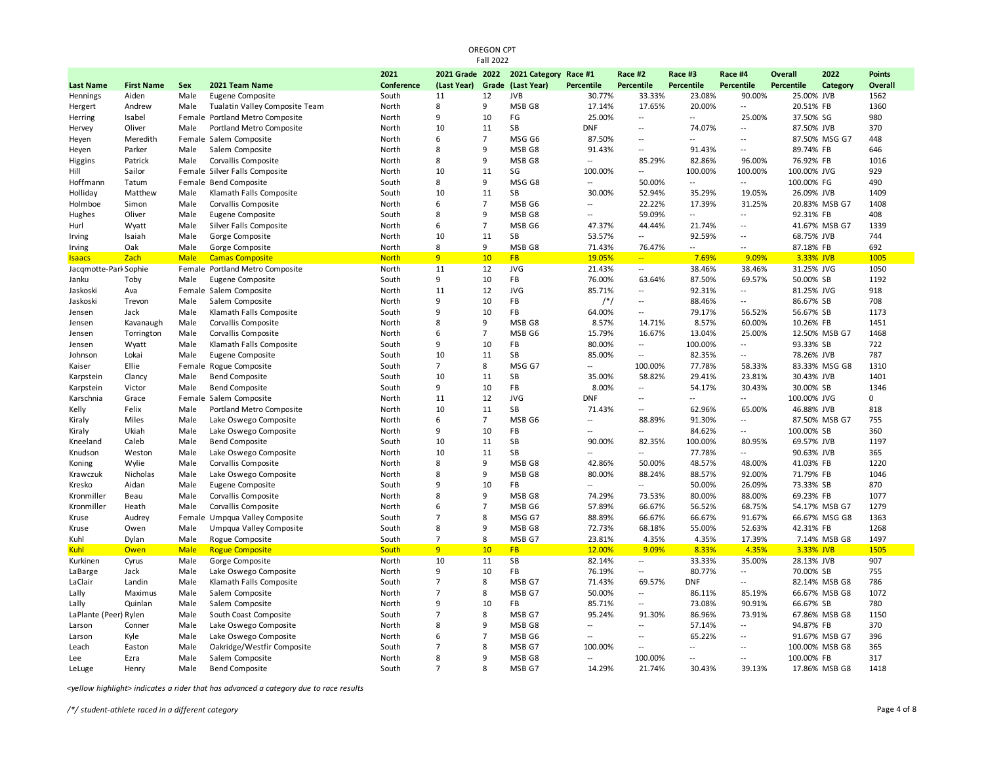|                       |                   |             |                                 |              |                   | <b>Fall 2022</b> |                       |                   |                          |                          |                          |             |                |               |
|-----------------------|-------------------|-------------|---------------------------------|--------------|-------------------|------------------|-----------------------|-------------------|--------------------------|--------------------------|--------------------------|-------------|----------------|---------------|
|                       |                   |             |                                 | 2021         | 2021 Grade 2022   |                  | 2021 Category Race #1 |                   | Race #2                  | Race #3                  | Race #4                  | Overall     | 2022           | <b>Points</b> |
| <b>Last Name</b>      | <b>First Name</b> | <b>Sex</b>  | 2021 Team Name                  | Conference   | (Last Year) Grade |                  | (Last Year)           | <b>Percentile</b> | <b>Percentile</b>        | <b>Percentile</b>        | Percentile               | Percentile  | Category       | Overall       |
| Hennings              | Aiden             | Male        | Eugene Composite                | South        | 11                | 12               | <b>JVB</b>            | 30.77%            | 33.33%                   | 23.08%                   | 90.00%                   | 25.00% JVB  |                | 1562          |
| Hergert               | Andrew            | Male        | Tualatin Valley Composite Team  | North        | 8                 | 9                | MSB G8                | 17.14%            | 17.65%                   | 20.00%                   | $\overline{a}$           | 20.51% FB   |                | 1360          |
| Herring               | Isabel            |             | Female Portland Metro Composite | North        | 9                 | 10               | FG                    | 25.00%            | $\overline{\phantom{a}}$ | $\overline{a}$           | 25.00%                   | 37.50% SG   |                | 980           |
| Hervey                | Oliver            | Male        | Portland Metro Composite        | North        | 10                | 11               | SB                    | <b>DNF</b>        | $\ddot{\phantom{a}}$     | 74.07%                   | $\overline{a}$           | 87.50% JVB  |                | 370           |
| Heyen                 | Meredith          |             | Female Salem Composite          | North        | 6                 | $\overline{7}$   | MSG G6                | 87.50%            | $\overline{a}$           | $\overline{a}$           | $\overline{\phantom{a}}$ |             | 87.50% MSG G7  | 448           |
| Heyen                 | Parker            | Male        | Salem Composite                 | North        | 8                 | 9                | MSB G8                | 91.43%            | $\overline{\phantom{a}}$ | 91.43%                   | $\overline{a}$           | 89.74% FB   |                | 646           |
| Higgins               | Patrick           | Male        | Corvallis Composite             | North        | 8                 | 9                | MSB <sub>G8</sub>     | $\overline{a}$    | 85.29%                   | 82.86%                   | 96.00%                   | 76.92% FB   |                | 1016          |
| Hill                  | Sailor            |             | Female Silver Falls Composite   | North        | 10                | 11               | SG                    | 100.00%           | --                       | 100.00%                  | 100.00%                  | 100.00% JVG |                | 929           |
| Hoffmann              | Tatum             |             | Female Bend Composite           | South        | 8                 | 9                | MSG G8                | --                | 50.00%                   | $\overline{a}$           | $\overline{\phantom{a}}$ | 100.00% FG  |                | 490           |
| Holliday              | Matthew           | Male        | Klamath Falls Composite         | South        | 10                | 11               | SB                    | 30.00%            | 52.94%                   | 35.29%                   | 19.05%                   | 26.09% JVB  |                | 1409          |
| Holmboe               | Simon             | Male        | Corvallis Composite             | North        | 6                 | $\overline{7}$   | MSB G6                | $-1$              | 22.22%                   | 17.39%                   | 31.25%                   |             | 20.83% MSB G7  | 1408          |
| Hughes                | Oliver            | Male        | Eugene Composite                | South        | 8                 | 9                | MSB G8                | $\overline{a}$    | 59.09%                   | $\overline{a}$           | $\sim$                   | 92.31% FB   |                | 408           |
| Hurl                  | Wyatt             | Male        | Silver Falls Composite          | North        | 6                 | $\overline{7}$   | MSB <sub>G6</sub>     | 47.37%            | 44.44%                   | 21.74%                   | $\overline{a}$           |             | 41.67% MSB G7  | 1339          |
| Irving                | Isaiah            | Male        | Gorge Composite                 | North        | 10                | 11               | SB                    | 53.57%            | $\overline{a}$           | 92.59%                   | $\overline{a}$           | 68.75% JVB  |                | 744           |
| Irving                | Oak               | Male        | Gorge Composite                 | North        | 8                 | 9                | MSB G8                | 71.43%            | 76.47%                   | $\overline{a}$           | $-$                      | 87.18% FB   |                | 692           |
| <b>Isaacs</b>         | Zach              | <b>Male</b> | <b>Camas Composite</b>          | <b>North</b> | 9                 | 10               | <b>FB</b>             | 19.05%            | $\frac{1}{2}$            | 7.69%                    | 9.09%                    | 3.33% JVB   |                | 1005          |
| Jacqmotte-Park Sophie |                   |             | Female Portland Metro Composite | North        | 11                | 12               | <b>JVG</b>            | 21.43%            | $\sim$                   | 38.46%                   | 38.46%                   | 31.25% JVG  |                | 1050          |
| Janku                 | Toby              | Male        | Eugene Composite                | South        | 9                 | 10               | FB                    | 76.00%            | 63.64%                   | 87.50%                   | 69.57%                   | 50.00% SB   |                | 1192          |
| Jaskoski              | Ava               |             | Female Salem Composite          | North        | 11                | 12               | <b>JVG</b>            | 85.71%            | $\overline{\phantom{a}}$ | 92.31%                   | $\overline{\phantom{a}}$ | 81.25% JVG  |                | 918           |
| Jaskoski              | Trevon            | Male        | Salem Composite                 | North        | 9                 | 10               | FB                    | $/*/$             | $\overline{\phantom{a}}$ | 88.46%                   | $-$                      | 86.67% SB   |                | 708           |
| Jensen                | Jack              | Male        | Klamath Falls Composite         | South        | 9                 | 10               | FB                    | 64.00%            | --                       | 79.17%                   | 56.52%                   | 56.67% SB   |                | 1173          |
| Jensen                | Kavanaugh         | Male        | Corvallis Composite             | North        | 8                 | 9                | MSB <sub>G8</sub>     | 8.57%             | 14.71%                   | 8.57%                    | 60.00%                   | 10.26% FB   |                | 1451          |
| Jensen                | Torrington        | Male        | Corvallis Composite             | North        | 6                 | $\overline{7}$   | MSB <sub>G6</sub>     | 15.79%            | 16.67%                   | 13.04%                   | 25.00%                   |             | 12.50% MSB G7  | 1468          |
| Jensen                | Wyatt             | Male        | Klamath Falls Composite         | South        | 9                 | 10               | FB                    | 80.00%            | $\overline{a}$           | 100.00%                  | $\overline{a}$           | 93.33% SB   |                | 722           |
| Johnson               | Lokai             | Male        | Eugene Composite                | South        | 10                | 11               | SB                    | 85.00%            | $\overline{a}$           | 82.35%                   | $\overline{a}$           | 78.26% JVB  |                | 787           |
| Kaiser                | Ellie             |             | Female Rogue Composite          | South        | $\overline{7}$    | 8                | MSG G7                | $\overline{a}$    | 100.00%                  | 77.78%                   | 58.33%                   |             | 83.33% MSG G8  | 1310          |
| Karpstein             | Clancy            | Male        | <b>Bend Composite</b>           | South        | 10                | 11               | <b>SB</b>             | 35.00%            | 58.82%                   | 29.41%                   | 23.81%                   | 30.43% JVB  |                | 1401          |
| Karpstein             | Victor            | Male        | <b>Bend Composite</b>           | South        | 9                 | 10               | FB                    | 8.00%             | $\overline{a}$           | 54.17%                   | 30.43%                   | 30.00% SB   |                | 1346          |
| Karschnia             | Grace             |             | Female Salem Composite          | North        | 11                | 12               | <b>JVG</b>            | <b>DNF</b>        | $\overline{a}$           | $\overline{a}$           | $\overline{\phantom{a}}$ | 100.00% JVG |                | 0             |
| Kelly                 | Felix             | Male        | Portland Metro Composite        | North        | 10                | 11               | <b>SB</b>             | 71.43%            | $\overline{\phantom{a}}$ | 62.96%                   | 65.00%                   | 46.88% JVB  |                | 818           |
| Kiraly                | Miles             | Male        | Lake Oswego Composite           | North        | 6                 | $\overline{7}$   | MSB <sub>G6</sub>     | $-1$              | 88.89%                   | 91.30%                   | $\overline{a}$           |             | 87.50% MSB G7  | 755           |
| Kiraly                | Ukiah             | Male        | Lake Oswego Composite           | North        | 9                 | 10               | FB                    | $-1$              | $\overline{a}$           | 84.62%                   | $\sim$                   | 100.00% SB  |                | 360           |
| Kneeland              | Caleb             | Male        | <b>Bend Composite</b>           | South        | 10                | 11               | SB                    | 90.00%            | 82.35%                   | 100.00%                  | 80.95%                   | 69.57% JVB  |                | 1197          |
| Knudson               | Weston            | Male        | Lake Oswego Composite           | North        | 10                | 11               | SB                    |                   | $\overline{a}$           | 77.78%                   |                          | 90.63% JVB  |                | 365           |
| Koning                | Wylie             | Male        | Corvallis Composite             | North        | 8                 | 9                | MSB G8                | 42.86%            | 50.00%                   | 48.57%                   | 48.00%                   | 41.03% FB   |                | 1220          |
| Krawczuk              | Nicholas          | Male        | Lake Oswego Composite           | North        | 8                 | 9                | MSB G8                | 80.00%            | 88.24%                   | 88.57%                   | 92.00%                   | 71.79% FB   |                | 1046          |
| Kresko                | Aidan             | Male        | Eugene Composite                | South        | 9                 | 10               | FB                    |                   | $\sim$                   | 50.00%                   | 26.09%                   | 73.33% SB   |                | 870           |
| Kronmiller            | Beau              | Male        | Corvallis Composite             | North        | 8                 | 9                | MSB G8                | 74.29%            | 73.53%                   | 80.00%                   | 88.00%                   | 69.23% FB   |                | 1077          |
| Kronmiller            | Heath             | Male        | Corvallis Composite             | North        | 6                 | $\overline{7}$   | MSB G6                | 57.89%            | 66.67%                   | 56.52%                   | 68.75%                   |             | 54.17% MSB G7  | 1279          |
| Kruse                 | Audrey            | Female      | Umpqua Valley Composite         | South        | $\overline{7}$    | 8                | MSG G7                | 88.89%            | 66.67%                   | 66.67%                   | 91.67%                   |             | 66.67% MSG G8  | 1363          |
| Kruse                 | Owen              | Male        | Umpqua Valley Composite         | South        | 8                 | 9                | MSB G8                | 72.73%            | 68.18%                   | 55.00%                   | 52.63%                   | 42.31% FB   |                | 1268          |
| Kuhl                  | Dylan             | Male        | Rogue Composite                 | South        | $\overline{7}$    | 8                | MSB G7                | 23.81%            | 4.35%                    | 4.35%                    | 17.39%                   |             | 7.14% MSB G8   | 1497          |
| <b>Kuhl</b>           | Owen              | <b>Male</b> | <b>Rogue Composite</b>          | South        | 9                 | 10               | <b>FB</b>             | 12.00%            | 9.09%                    | 8.33%                    | 4.35%                    | 3.33% JVB   |                | 1505          |
| Kurkinen              | Cyrus             | Male        | Gorge Composite                 | North        | 10                | 11               | SB                    | 82.14%            | --                       | 33.33%                   | 35.00%                   | 28.13% JVB  |                | 907           |
| LaBarge               | Jack              | Male        | Lake Oswego Composite           | North        | 9                 | 10               | FB                    | 76.19%            | $\overline{a}$           | 80.77%                   | $\overline{\phantom{a}}$ | 70.00% SB   |                | 755           |
| LaClair               | Landin            | Male        | Klamath Falls Composite         | South        | $\overline{7}$    | 8                | MSB G7                | 71.43%            | 69.57%                   | <b>DNF</b>               | $\overline{\phantom{a}}$ |             | 82.14% MSB G8  | 786           |
| Lally                 | Maximus           | Male        | Salem Composite                 | North        | $\overline{7}$    | 8                | MSB G7                | 50.00%            | $\overline{\phantom{a}}$ | 86.11%                   | 85.19%                   |             | 66.67% MSB G8  | 1072          |
| Lally                 | Quinlan           | Male        | Salem Composite                 | North        | 9                 | 10               | FB                    | 85.71%            | --                       | 73.08%                   | 90.91%                   | 66.67% SB   |                | 780           |
| LaPlante (Peer) Rylen |                   | Male        | South Coast Composite           | South        | $\overline{7}$    | 8                | MSB G7                | 95.24%            | 91.30%                   | 86.96%                   | 73.91%                   |             | 67.86% MSB G8  | 1150          |
| Larson                | Conner            | Male        | Lake Oswego Composite           | North        | 8                 | 9                | MSB G8                | $-$               | $\overline{a}$           | 57.14%                   | $\overline{a}$           | 94.87% FB   |                | 370           |
| Larson                | Kyle              | Male        | Lake Oswego Composite           | North        | 6                 | $\overline{7}$   | MSB G6                | $\overline{a}$    | $\overline{\phantom{a}}$ | 65.22%                   | $\sim$                   |             | 91.67% MSB G7  | 396           |
| Leach                 | Easton            | Male        | Oakridge/Westfir Composite      | South        | $\overline{7}$    | 8                | MSB G7                | 100.00%           | --                       | $\overline{\phantom{a}}$ | $\overline{a}$           |             | 100.00% MSB G8 | 365           |
| Lee                   | Ezra              | Male        | Salem Composite                 | North        | 8                 | 9                | MSB <sub>G8</sub>     | $\overline{a}$    | 100.00%                  |                          |                          | 100.00% FB  |                | 317           |
| LeLuge                | Henry             | Male        | <b>Bend Composite</b>           | South        | $\overline{7}$    | 8                | MSB G7                | 14.29%            | 21.74%                   | 30.43%                   | 39.13%                   |             | 17.86% MSB G8  | 1418          |
|                       |                   |             |                                 |              |                   |                  |                       |                   |                          |                          |                          |             |                |               |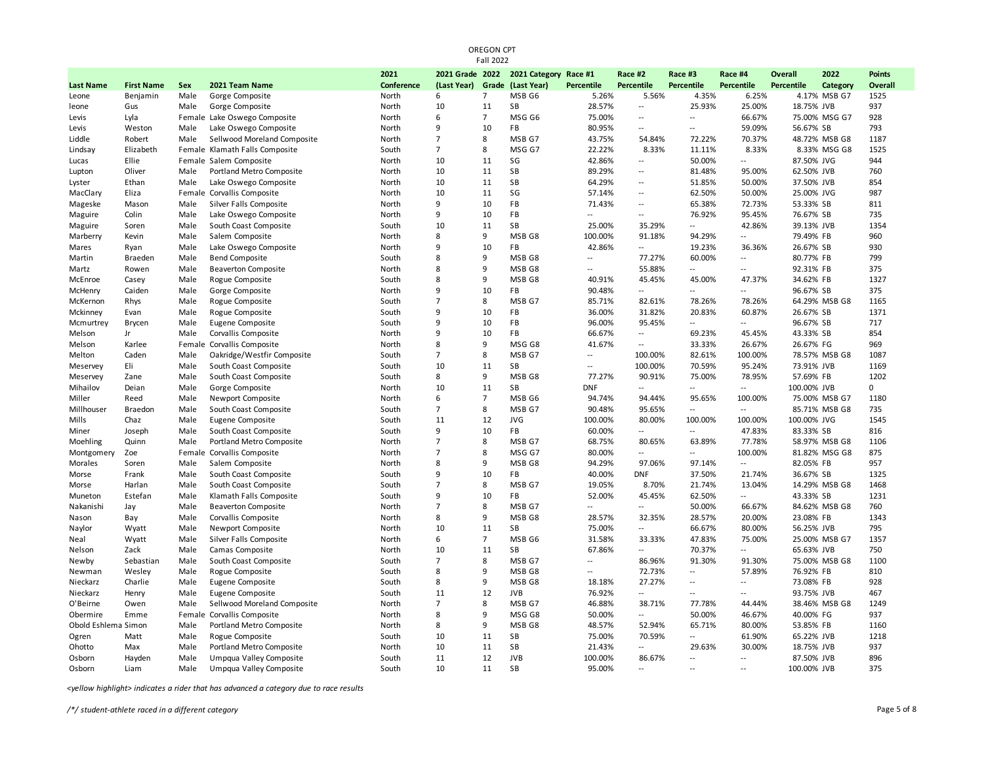| <b>Fall 2022</b>    |                   |            |                                |            |                 |                |                       |                             |                          |                          |                          |             |               |               |
|---------------------|-------------------|------------|--------------------------------|------------|-----------------|----------------|-----------------------|-----------------------------|--------------------------|--------------------------|--------------------------|-------------|---------------|---------------|
|                     |                   |            |                                | 2021       | 2021 Grade 2022 |                | 2021 Category Race #1 |                             | Race #2                  | Race #3                  | Race #4                  | Overall     | 2022          | <b>Points</b> |
| <b>Last Name</b>    | <b>First Name</b> | <b>Sex</b> | 2021 Team Name                 | Conference | (Last Year)     |                | Grade (Last Year)     | <b>Percentile</b>           | Percentile               | <b>Percentile</b>        | <b>Percentile</b>        | Percentile  | Category      | Overall       |
| Leone               | Benjamin          | Male       | Gorge Composite                | North      | 6               | $\overline{7}$ | MSB <sub>G6</sub>     | 5.26%                       | 5.56%                    | 4.35%                    | 6.25%                    |             | 4.17% MSB G7  | 1525          |
| leone               | Gus               | Male       | Gorge Composite                | North      | 10              | 11             | SB                    | 28.57%                      | $\overline{a}$           | 25.93%                   | 25.00%                   | 18.75% JVB  |               | 937           |
| Levis               | Lyla              |            | Female Lake Oswego Composite   | North      | 6               | $\overline{7}$ | MSG G6                | 75.00%                      | $\sim$                   | $\overline{a}$           | 66.67%                   |             | 75.00% MSG G7 | 928           |
| Levis               | Weston            | Male       | Lake Oswego Composite          | North      | 9               | 10             | FB                    | 80.95%                      | $\overline{a}$           | $\overline{\phantom{a}}$ | 59.09%                   | 56.67% SB   |               | 793           |
| Liddle              | Robert            | Male       | Sellwood Moreland Composite    | North      | $\overline{7}$  | 8              | MSB G7                | 43.75%                      | 54.84%                   | 72.22%                   | 70.37%                   |             | 48.72% MSB G8 | 1187          |
| Lindsay             | Elizabeth         |            | Female Klamath Falls Composite | South      | $\overline{7}$  | 8              | MSG G7                | 22.22%                      | 8.33%                    | 11.11%                   | 8.33%                    |             | 8.33% MSG G8  | 1525          |
| Lucas               | Ellie             |            | Female Salem Composite         | North      | 10              | 11             | SG                    | 42.86%                      | $\sim$                   | 50.00%                   | $\overline{a}$           | 87.50% JVG  |               | 944           |
| Lupton              | Oliver            | Male       | Portland Metro Composite       | North      | 10              | 11             | SB                    | 89.29%                      | $\overline{\phantom{a}}$ | 81.48%                   | 95.00%                   | 62.50% JVB  |               | 760           |
| Lyster              | Ethan             | Male       | Lake Oswego Composite          | North      | 10              | 11             | <b>SB</b>             | 64.29%                      | $\overline{a}$           | 51.85%                   | 50.00%                   | 37.50% JVB  |               | 854           |
| MacClary            | Eliza             |            | Female Corvallis Composite     | North      | 10              | 11             | SG                    | 57.14%                      | $\overline{\phantom{a}}$ | 62.50%                   | 50.00%                   | 25.00% JVG  |               | 987           |
| Mageske             | Mason             | Male       | Silver Falls Composite         | North      | 9               | 10             | FB                    | 71.43%                      | $\overline{a}$           | 65.38%                   | 72.73%                   | 53.33% SB   |               | 811           |
| Maguire             | Colin             | Male       | Lake Oswego Composite          | North      | 9               | 10             | FB                    | $\sim$ $\sim$               | $\overline{a}$           | 76.92%                   | 95.45%                   | 76.67% SB   |               | 735           |
| Maguire             | Soren             | Male       | South Coast Composite          | South      | 10              | 11             | <b>SB</b>             | 25.00%                      | 35.29%                   | $\overline{a}$           | 42.86%                   | 39.13% JVB  |               | 1354          |
| Marberry            | Kevin             | Male       | Salem Composite                | North      | 8               | 9              | MSB <sub>G8</sub>     | 100.00%                     | 91.18%                   | 94.29%                   | $\overline{a}$           | 79.49% FB   |               | 960           |
| Mares               | Ryan              | Male       | Lake Oswego Composite          | North      | 9               | 10             | FB                    | 42.86%                      | $\overline{a}$           | 19.23%                   | 36.36%                   | 26.67% SB   |               | 930           |
| Martin              | Braeden           | Male       | <b>Bend Composite</b>          | South      | 8               | 9              | MSB G8                | $\overline{\phantom{a}}$    | 77.27%                   | 60.00%                   | --                       | 80.77% FB   |               | 799           |
| Martz               | Rowen             | Male       | <b>Beaverton Composite</b>     | North      | 8               | 9              | MSB <sub>G8</sub>     | $\overline{a}$              | 55.88%                   | $\overline{a}$           | --                       | 92.31% FB   |               | 375           |
| McEnroe             | Casey             | Male       | Rogue Composite                | South      | $\mathbf{R}$    | 9              | MSB <sub>G8</sub>     | 40.91%                      | 45.45%                   | 45.00%                   | 47.37%                   | 34.62% FB   |               | 1327          |
| McHenry             | Caiden            | Male       | Gorge Composite                | North      | 9               | 10             | FB                    | 90.48%                      | $\overline{a}$           | $\overline{\phantom{a}}$ | $\overline{\phantom{a}}$ | 96.67% SB   |               | 375           |
| McKernon            | Rhys              | Male       | Rogue Composite                | South      | $\overline{7}$  | 8              | MSB G7                | 85.71%                      | 82.61%                   | 78.26%                   | 78.26%                   |             | 64.29% MSB G8 | 1165          |
| Mckinney            | Evan              | Male       | Rogue Composite                | South      | 9               | 10             | FB                    | 36.00%                      | 31.82%                   | 20.83%                   | 60.87%                   | 26.67% SB   |               | 1371          |
| Mcmurtrey           | Brycen            | Male       | Eugene Composite               | South      | 9               | 10             | FB                    | 96.00%                      | 95.45%                   | $\overline{a}$           | $\overline{a}$           | 96.67% SB   |               | 717           |
| Melson              | Jr                | Male       | Corvallis Composite            | North      | 9               | 10             | FB                    | 66.67%                      | $\sim$                   | 69.23%                   | 45.45%                   | 43.33% SB   |               | 854           |
| Melson              | Karlee            | Female     | Corvallis Composite            | North      | 8               | 9              | MSG G8                | 41.67%                      | $\overline{a}$           | 33.33%                   | 26.67%                   | 26.67% FG   |               | 969           |
| Melton              | Caden             | Male       | Oakridge/Westfir Composite     | South      | $\overline{7}$  | 8              | MSB G7                | $\mathcal{L}_{\mathcal{A}}$ | 100.00%                  | 82.61%                   | 100.00%                  |             | 78.57% MSB G8 | 1087          |
| Meservey            | Eli               | Male       | South Coast Composite          | South      | 10              | 11             | SB                    | $\sim$                      | 100.00%                  | 70.59%                   | 95.24%                   | 73.91% JVB  |               | 1169          |
| Meservey            | Zane              | Male       | South Coast Composite          | South      | 8               | 9              | MSB <sub>G8</sub>     | 77.27%                      | 90.91%                   | 75.00%                   | 78.95%                   | 57.69% FB   |               | 1202          |
| Mihailov            | Deian             | Male       | Gorge Composite                | North      | 10              | 11             | <b>SB</b>             | <b>DNF</b>                  | $\overline{a}$           | $\overline{a}$           | $\overline{a}$           | 100.00% JVB |               | 0             |
| Miller              | Reed              | Male       | Newport Composite              | North      | 6               | $\overline{7}$ | MSB G6                | 94.74%                      | 94.44%                   | 95.65%                   | 100.00%                  |             | 75.00% MSB G7 | 1180          |
| Millhouser          | <b>Braedon</b>    | Male       | South Coast Composite          | South      | $\overline{7}$  | 8              | MSB G7                | 90.48%                      | 95.65%                   | $\sim$                   | $\sim$                   |             | 85.71% MSB G8 | 735           |
| Mills               | Chaz              | Male       | Eugene Composite               | South      | 11              | 12             | <b>JVG</b>            | 100.00%                     | 80.00%                   | 100.00%                  | 100.00%                  | 100.00% JVG |               | 1545          |
| Miner               | Joseph            | Male       | South Coast Composite          | South      | 9               | 10             | FB                    | 60.00%                      | $\overline{a}$           | $\sim$                   | 47.83%                   | 83.33% SB   |               | 816           |
| Moehling            | Quinn             | Male       | Portland Metro Composite       | North      | $\overline{7}$  | 8              | MSB G7                | 68.75%                      | 80.65%                   | 63.89%                   | 77.78%                   |             | 58.97% MSB G8 | 1106          |
| Montgomery          | Zoe               | Female     | Corvallis Composite            | North      | $\overline{7}$  | 8              | MSG G7                | 80.00%                      | $\overline{a}$           | $\overline{a}$           | 100.00%                  |             | 81.82% MSG G8 | 875           |
| Morales             | Soren             | Male       | Salem Composite                | North      | 8               | 9              | MSB G8                | 94.29%                      | 97.06%                   | 97.14%                   | $\overline{a}$           | 82.05% FB   |               | 957           |
| Morse               | Frank             | Male       | South Coast Composite          | South      | $\mathbf{q}$    | 10             | <b>FB</b>             | 40.00%                      | <b>DNF</b>               | 37.50%                   | 21.74%                   | 36.67% SB   |               | 1325          |
| Morse               | Harlan            | Male       | South Coast Composite          | South      | $\overline{7}$  | 8              | MSB G7                | 19.05%                      | 8.70%                    | 21.74%                   | 13.04%                   |             | 14.29% MSB G8 | 1468          |
| Muneton             | Estefan           | Male       | Klamath Falls Composite        | South      | 9               | 10             | FB                    | 52.00%                      | 45.45%                   | 62.50%                   | $-$                      | 43.33% SB   |               | 1231          |
| Nakanishi           | Jay               | Male       | <b>Beaverton Composite</b>     | North      | $\overline{7}$  | 8              | MSB G7                | $\mathcal{L}_{\mathcal{A}}$ | $\overline{a}$           | 50.00%                   | 66.67%                   |             | 84.62% MSB G8 | 760           |
| Nason               | Bay               | Male       | Corvallis Composite            | North      | 8               | 9              | MSB <sub>G8</sub>     | 28.57%                      | 32.35%                   | 28.57%                   | 20.00%                   | 23.08% FB   |               | 1343          |
| Naylor              | Wyatt             | Male       | Newport Composite              | North      | 10              | 11             | SB                    | 75.00%                      | $\overline{a}$           | 66.67%                   | 80.00%                   | 56.25% JVB  |               | 795           |
| Neal                | Wyatt             | Male       | Silver Falls Composite         | North      | 6               | $\overline{7}$ | MSB G6                | 31.58%                      | 33.33%                   | 47.83%                   | 75.00%                   |             | 25.00% MSB G7 | 1357          |
| Nelson              | Zack              | Male       | Camas Composite                | North      | 10              | 11             | <b>SB</b>             | 67.86%                      | $\overline{a}$           | 70.37%                   |                          | 65.63% JVB  |               | 750           |
| Newby               | Sebastian         | Male       | South Coast Composite          | South      | $\overline{7}$  | 8              | MSB G7                | $\mathcal{L}_{\mathcal{A}}$ | 86.96%                   | 91.30%                   | 91.30%                   |             | 75.00% MSB G8 | 1100          |
| Newman              | Wesley            | Male       | Rogue Composite                | South      | 8               | 9              | MSB G8                | $\mathcal{L}_{\mathcal{A}}$ | 72.73%                   | $\overline{a}$           | 57.89%                   | 76.92% FB   |               | 810           |
| Nieckarz            | Charlie           | Male       | Eugene Composite               | South      | 8               | 9              | MSB G8                | 18.18%                      | 27.27%                   | $\overline{\phantom{a}}$ | --                       | 73.08% FB   |               | 928           |
| Nieckarz            | Henry             | Male       | Eugene Composite               | South      | 11              | 12             | <b>JVB</b>            | 76.92%                      | $\overline{\phantom{a}}$ | $\overline{\phantom{a}}$ | --                       | 93.75% JVB  |               | 467           |
| O'Beirne            | Owen              | Male       | Sellwood Moreland Composite    | North      | $\overline{7}$  | 8              | MSB G7                | 46.88%                      | 38.71%                   | 77.78%                   | 44.44%                   |             | 38.46% MSB G8 | 1249          |
| Obermire            | Emme              |            | Female Corvallis Composite     | North      | 8               | 9              | MSG G8                | 50.00%                      | $\overline{a}$           | 50.00%                   | 46.67%                   | 40.00% FG   |               | 937           |
| Obold Eshlema Simon |                   | Male       | Portland Metro Composite       | North      | 8               | 9              | MSB G8                | 48.57%                      | 52.94%                   | 65.71%                   | 80.00%                   | 53.85% FB   |               | 1160          |
| Ogren               | Matt              | Male       | Rogue Composite                | South      | 10              | 11             | SB                    | 75.00%                      | 70.59%                   | $\overline{a}$           | 61.90%                   | 65.22% JVB  |               | 1218          |
| Ohotto              | Max               | Male       | Portland Metro Composite       | North      | 10              | 11             | SB                    | 21.43%                      | $\overline{a}$           | 29.63%                   | 30.00%                   | 18.75% JVB  |               | 937           |
| Osborn              | Hayden            | Male       | Umpqua Valley Composite        | South      | 11              | 12             | <b>JVB</b>            | 100.00%                     | 86.67%                   | $\overline{a}$           | $\overline{a}$           | 87.50% JVB  |               | 896           |
| Osborn              | Liam              | Male       | Umpqua Valley Composite        | South      | 10              | 11             | <b>SB</b>             | 95.00%                      | $\overline{a}$           | $\overline{\phantom{a}}$ | $-$                      | 100.00% JVB |               | 375           |
|                     |                   |            |                                |            |                 |                |                       |                             |                          |                          |                          |             |               |               |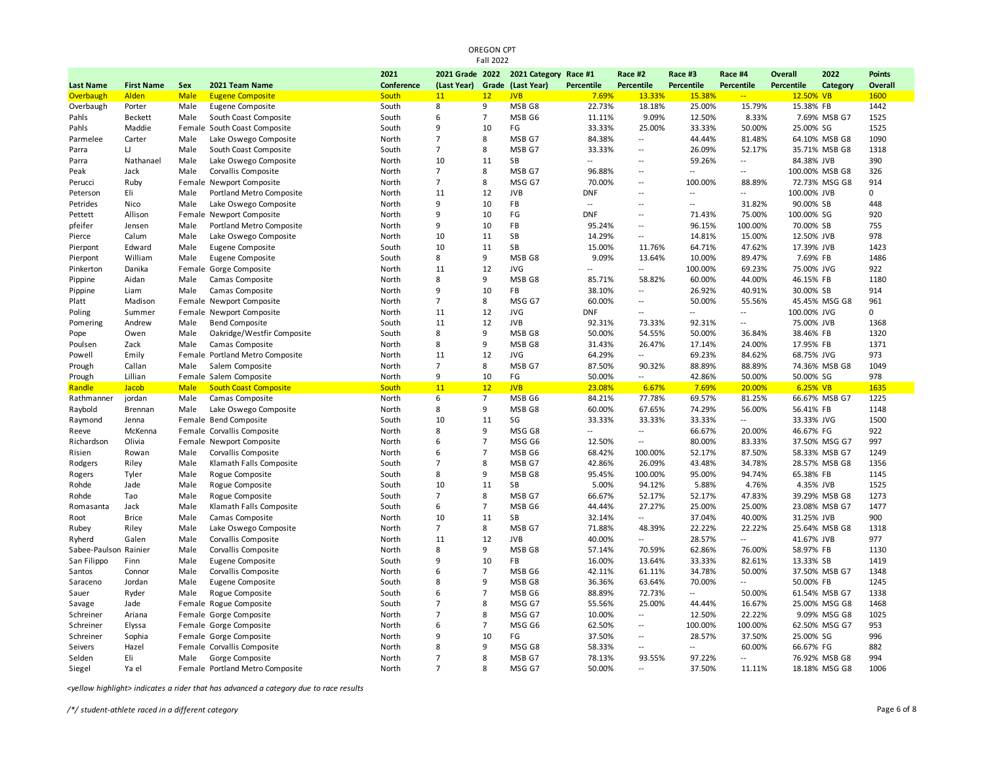| <b>Fall 2022</b>       |                   |              |                                                 |                |                 |                |                       |                          |                                    |                          |                          |                |                                |               |
|------------------------|-------------------|--------------|-------------------------------------------------|----------------|-----------------|----------------|-----------------------|--------------------------|------------------------------------|--------------------------|--------------------------|----------------|--------------------------------|---------------|
|                        |                   |              |                                                 | 2021           | 2021 Grade 2022 |                | 2021 Category Race #1 |                          | Race #2                            | Race #3                  | Race #4                  | <b>Overall</b> | 2022                           | <b>Points</b> |
| <b>Last Name</b>       | <b>First Name</b> | Sex          | 2021 Team Name                                  | Conference     | (Last Year)     |                | Grade (Last Year)     | Percentile               | Percentile                         | Percentile               | Percentile               | Percentile     | Category                       | Overall       |
| Overbaugh              | Alden             | <b>Male</b>  | <b>Eugene Composite</b>                         | South          | 11              | 12             | <b>JVB</b>            | 7.69%                    | 13.33%                             | 15.38%                   | $-1$                     | 12.50% VB      |                                | 1600          |
| Overbaugh              | Porter            | Male         | Eugene Composite                                | South          | 8               | 9              | MSB G8                | 22.73%                   | 18.18%                             | 25.00%                   | 15.79%                   | 15.38% FB      |                                | 1442          |
| Pahls                  | Beckett           | Male         | South Coast Composite                           | South          | 6               | $\overline{7}$ | MSB <sub>G6</sub>     | 11.11%                   | 9.09%                              | 12.50%                   | 8.33%                    |                | 7.69% MSB G7                   | 1525          |
| Pahls                  | Maddie            |              | Female South Coast Composite                    | South          | 9               | 10             | FG                    | 33.33%                   | 25.00%                             | 33.33%                   | 50.00%                   | 25.00% SG      |                                | 1525          |
| Parmelee               | Carter            | Male         | Lake Oswego Composite                           | North          | $\overline{7}$  | 8              | MSB G7                | 84.38%                   | $\overline{\phantom{a}}$           | 44.44%                   | 81.48%                   |                | 64.10% MSB G8                  | 1090          |
| Parra                  | $\sqcup$          | Male         | South Coast Composite                           | South          | $\overline{7}$  | 8              | MSB G7                | 33.33%                   | $\overline{\phantom{a}}$           | 26.09%                   | 52.17%                   |                | 35.71% MSB G8                  | 1318          |
| Parra                  | Nathanael         | Male         | Lake Oswego Composite                           | North          | 10              | 11             | <b>SB</b>             |                          | $\overline{\phantom{a}}$           | 59.26%                   | $\overline{\phantom{a}}$ | 84.38% JVB     |                                | 390           |
| Peak                   | Jack              | Male         | Corvallis Composite                             | North          | $\overline{7}$  | 8              | MSB G7                | 96.88%                   | $\overline{\phantom{a}}$           | $\overline{a}$           | $\overline{a}$           |                | 100.00% MSB G8                 | 326           |
| Perucci                | Ruby              |              | Female Newport Composite                        | North          | $\overline{7}$  | 8              | MSG G7                | 70.00%                   | $\overline{\phantom{a}}$           | 100.00%                  | 88.89%                   |                | 72.73% MSG G8                  | 914           |
| Peterson               | Eli               | Male         | Portland Metro Composite                        | North          | 11              | 12             | <b>JVB</b>            | <b>DNF</b>               | $\ddot{\phantom{a}}$               | $\sim$                   | $\overline{a}$           | 100.00% JVB    |                                | $\mathbf 0$   |
| Petrides               | Nico              | Male         | Lake Oswego Composite                           | North          | 9               | 10             | FB                    | $\overline{a}$           | $\overline{\phantom{a}}$           | $\overline{a}$           | 31.82%                   | 90.00% SB      |                                | 448           |
| Pettett                | Allison           |              | Female Newport Composite                        | North          | $\mathbf{q}$    | 10             | FG                    | <b>DNF</b>               | $\overline{\phantom{a}}$           | 71.43%                   | 75.00%                   | 100.00% SG     |                                | 920           |
| pfeifer                | Jensen            | Male         | Portland Metro Composite                        | North          | 9               | 10             | FB                    | 95.24%                   | $\overline{\phantom{a}}$           | 96.15%                   | 100.00%                  | 70.00% SB      |                                | 755           |
| Pierce                 | Calum             | Male         | Lake Oswego Composite                           | North          | 10              | 11             | SB                    | 14.29%                   | $\overline{\phantom{a}}$           | 14.81%                   | 15.00%                   | 12.50% JVB     |                                | 978           |
| Pierpont               | Edward            | Male         | Eugene Composite                                | South          | 10              | 11             | SB                    | 15.00%                   | 11.76%                             | 64.71%                   | 47.62%                   | 17.39% JVB     |                                | 1423          |
| Pierpont               | William           | Male         | Eugene Composite                                | South          | 8               | 9              | MSB <sub>G8</sub>     | 9.09%                    | 13.64%                             | 10.00%                   | 89.47%                   | 7.69% FB       |                                | 1486          |
| Pinkerton              | Danika            |              | Female Gorge Composite                          | North          | 11              | 12             | <b>JVG</b>            |                          | $\overline{\phantom{a}}$           | 100.00%                  | 69.23%                   | 75.00% JVG     |                                | 922           |
| Pippine                | Aidan             | Male         | Camas Composite                                 | North          | 8               | 9              | MSB <sub>G8</sub>     | 85.71%                   | 58.82%                             | 60.00%                   | 44.00%                   | 46.15% FB      |                                | 1180          |
| Pippine                | Liam              | Male         | Camas Composite                                 | North          | 9               | 10             | FB                    | 38.10%                   | $\overline{\phantom{a}}$           | 26.92%                   | 40.91%                   | 30.00% SB      |                                | 914           |
| Platt                  | Madison           |              | Female Newport Composite                        | North          | $\overline{7}$  | 8              | MSG G7                | 60.00%                   | $\overline{\phantom{a}}$           | 50.00%                   | 55.56%                   |                | 45.45% MSG G8                  | 961           |
| Poling                 | Summer            |              | Female Newport Composite                        | North          | 11              | 12             | <b>JVG</b>            | <b>DNF</b>               | $\overline{a}$                     | $\overline{a}$           | $\overline{a}$           | 100.00% JVG    |                                | $\mathbf 0$   |
| Pomering               | Andrew            | Male         | <b>Bend Composite</b>                           | South          | 11              | 12             | <b>JVB</b>            | 92.31%                   | 73.33%                             | 92.31%                   | $\overline{a}$           | 75.00% JVB     |                                | 1368          |
| Pope                   | Owen              | Male         | Oakridge/Westfir Composite                      | South          | 8               | 9              | MSB G8                | 50.00%                   | 54.55%                             | 50.00%                   | 36.84%                   | 38.46% FB      |                                | 1320          |
| Poulsen                | Zack              | Male         | Camas Composite                                 | North          | 8               | 9              | MSB G8                | 31.43%                   | 26.47%                             | 17.14%                   | 24.00%                   | 17.95% FB      |                                | 1371          |
| Powell                 | Emily             |              | Female Portland Metro Composite                 | North          | 11              | 12             | <b>JVG</b>            | 64.29%                   | $\overline{a}$                     | 69.23%                   | 84.62%                   | 68.75% JVG     |                                | 973           |
| Prough                 | Callan            | Male         | Salem Composite                                 | North          | $\overline{7}$  | 8              | MSB G7                | 87.50%                   | 90.32%                             | 88.89%                   | 88.89%                   |                | 74.36% MSB G8                  | 1049          |
| Prough                 | Lillian           |              | Female Salem Composite                          | North          | 9               | 10             | FG                    | 50.00%                   | $\overline{a}$                     | 42.86%                   | 50.00%                   | 50.00% SG      |                                | 978           |
| Randle                 | Jacob             | <b>Male</b>  | <b>South Coast Composite</b>                    | South          | 11              | 12             | <b>JVB</b>            | 23.08%                   | 6.67%                              | 7.69%                    | 20.00%                   | 6.25% VB       |                                | 1635          |
| Rathmanner             | jordan            | Male         | Camas Composite                                 | North          | 6               | $\overline{7}$ | MSB G6                | 84.21%                   | 77.78%                             | 69.57%                   | 81.25%                   |                | 66.67% MSB G7                  | 1225          |
| Raybold                | Brennan           | Male         | Lake Oswego Composite                           | North          | 8               | 9              | MSB G8                | 60.00%                   | 67.65%                             | 74.29%                   | 56.00%                   | 56.41% FB      |                                | 1148          |
| Raymond                | Jenna             |              | Female Bend Composite                           | South          | 10<br>8         | 11<br>9        | SG                    | 33.33%<br>$\overline{a}$ | 33.33%<br>$\overline{\phantom{a}}$ | 33.33%                   | $\sim$                   | 33.33% JVG     |                                | 1500<br>922   |
| Reeve                  | McKenna<br>Olivia |              | Female Corvallis Composite                      | North          | 6               | $\overline{7}$ | MSG G8<br>MSG G6      | 12.50%                   | $\overline{\phantom{a}}$           | 66.67%<br>80.00%         | 20.00%<br>83.33%         | 46.67% FG      |                                | 997           |
| Richardson             |                   | Male         | Female Newport Composite<br>Corvallis Composite | North<br>North | 6               | $\overline{7}$ | MSB G6                | 68.42%                   | 100.00%                            | 52.17%                   | 87.50%                   |                | 37.50% MSG G7<br>58.33% MSB G7 | 1249          |
| Risien                 | Rowan             |              |                                                 |                | $\overline{7}$  |                |                       |                          |                                    |                          |                          |                |                                |               |
| Rodgers                | Riley             | Male         | Klamath Falls Composite                         | South          | 8               | 8<br>9         | MSB G7<br>MSB G8      | 42.86%                   | 26.09%<br>100.00%                  | 43.48%<br>95.00%         | 34.78%<br>94.74%         | 65.38% FB      | 28.57% MSB G8                  | 1356<br>1145  |
| Rogers                 | Tyler<br>Jade     | Male         | Rogue Composite<br>Rogue Composite              | South          | 10              | 11             | SB                    | 95.45%<br>5.00%          | 94.12%                             | 5.88%                    | 4.76%                    |                |                                | 1525          |
| Rohde<br>Rohde         | Tao               | Male<br>Male |                                                 | South<br>South | $\overline{7}$  | 8              | MSB G7                | 66.67%                   | 52.17%                             | 52.17%                   | 47.83%                   | 4.35% JVB      | 39.29% MSB G8                  | 1273          |
| Romasanta              | Jack              | Male         | Rogue Composite<br>Klamath Falls Composite      | South          | 6               | $\overline{7}$ | MSB G6                | 44.44%                   | 27.27%                             | 25.00%                   | 25.00%                   |                | 23.08% MSB G7                  | 1477          |
| Root                   | <b>Brice</b>      | Male         |                                                 | North          | 10              | 11             | SB                    | 32.14%                   | $\overline{\phantom{a}}$           | 37.04%                   | 40.00%                   | 31.25% JVB     |                                | 900           |
| Rubey                  | Riley             | Male         | Camas Composite                                 | North          | $\overline{7}$  | 8              | MSB G7                | 71.88%                   | 48.39%                             | 22.22%                   | 22.22%                   |                | 25.64% MSB G8                  | 1318          |
| Ryherd                 | Galen             | Male         | Lake Oswego Composite<br>Corvallis Composite    | North          | 11              | 12             | <b>JVB</b>            | 40.00%                   | $\overline{a}$                     | 28.57%                   | --                       | 41.67% JVB     |                                | 977           |
| Sabee-Paulson Rainier  |                   | Male         | Corvallis Composite                             | North          | 8               | 9              | MSB <sub>G8</sub>     | 57.14%                   | 70.59%                             | 62.86%                   | 76.00%                   | 58.97% FB      |                                | 1130          |
| San Filippo            | Finn              | Male         | Eugene Composite                                | South          | 9               | 10             | FB                    | 16.00%                   | 13.64%                             | 33.33%                   | 82.61%                   | 13.33% SB      |                                | 1419          |
|                        |                   | Male         | Corvallis Composite                             | North          | 6               | $\overline{7}$ | MSB <sub>G6</sub>     | 42.11%                   | 61.11%                             | 34.78%                   | 50.00%                   |                | 37.50% MSB G7                  | 1348          |
| Santos<br>Saraceno     | Connor<br>Jordan  | Male         | Eugene Composite                                | South          | 8               | 9              | MSB G8                | 36.36%                   | 63.64%                             | 70.00%                   | $-$                      | 50.00% FB      |                                | 1245          |
| Sauer                  | Ryder             | Male         | Rogue Composite                                 | South          | 6               | $\overline{7}$ | MSB G6                | 88.89%                   | 72.73%                             | $\overline{\phantom{a}}$ | 50.00%                   |                | 61.54% MSB G7                  | 1338          |
| Savage                 | Jade              |              | Female Rogue Composite                          | South          | $\overline{7}$  | 8              | MSG G7                | 55.56%                   | 25.00%                             | 44.44%                   | 16.67%                   |                | 25.00% MSG G8                  | 1468          |
| Schreiner              | Ariana            |              | Female Gorge Composite                          | North          | $\overline{7}$  | 8              | MSG G7                | 10.00%                   | $\overline{a}$                     | 12.50%                   | 22.22%                   |                | 9.09% MSG G8                   | 1025          |
|                        |                   |              | Female Gorge Composite                          |                | 6               | $\overline{7}$ | MSG G6                | 62.50%                   | $\overline{\phantom{a}}$           | 100.00%                  | 100.00%                  |                | 62.50% MSG G7                  | 953           |
| Schreiner<br>Schreiner | Elyssa            |              |                                                 | North<br>North | 9               | 10             | FG                    | 37.50%                   | $\overline{\phantom{a}}$           | 28.57%                   | 37.50%                   | 25.00% SG      |                                | 996           |
| Seivers                | Sophia<br>Hazel   |              | Female Gorge Composite                          | North          | 8               | 9              | MSG G8                | 58.33%                   | $\overline{a}$                     | $\overline{a}$           | 60.00%                   | 66.67% FG      |                                | 882           |
| Selden                 | Eli               | Male         | Female Corvallis Composite<br>Gorge Composite   | North          | $\overline{7}$  | 8              | MSB G7                | 78.13%                   | 93.55%                             | 97.22%                   | $-$                      |                | 76.92% MSB G8                  | 994           |
| Siegel                 | Ya el             |              | Female Portland Metro Composite                 | North          | $\overline{7}$  | 8              | MSG G7                | 50.00%                   | $\overline{a}$                     | 37.50%                   | 11.11%                   |                | 18.18% MSG G8                  | 1006          |
|                        |                   |              |                                                 |                |                 |                |                       |                          |                                    |                          |                          |                |                                |               |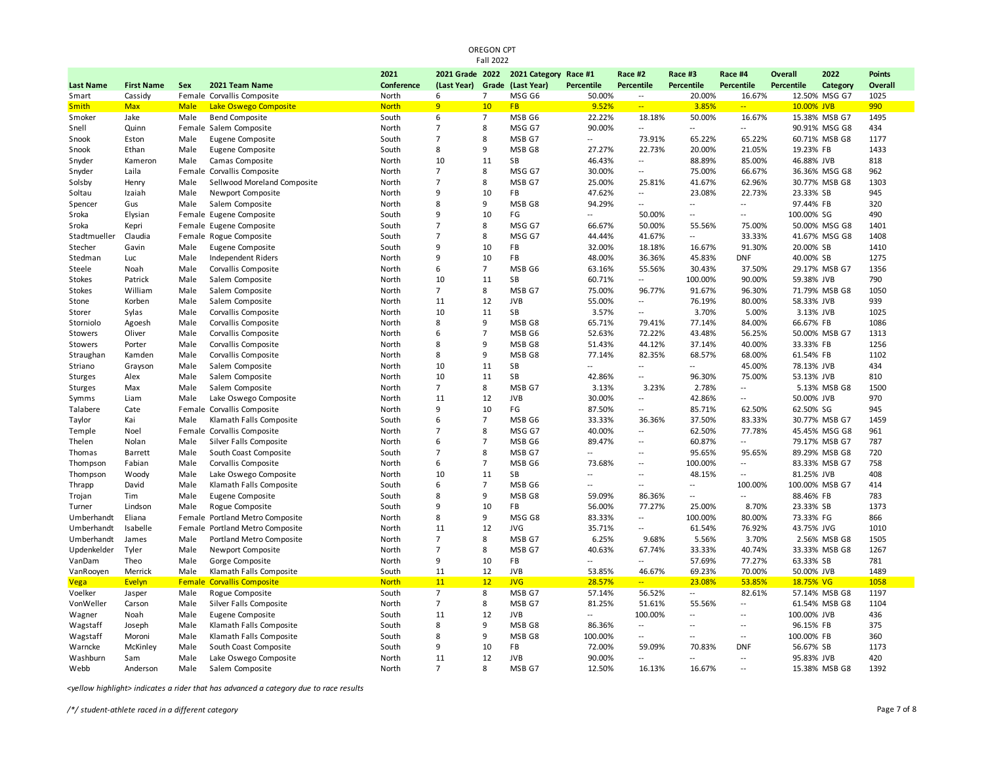| <b>Fall 2022</b>       |                   |                       |                                               |                       |                      |                |                             |                          |                          |                          |                             |                         |                |                |
|------------------------|-------------------|-----------------------|-----------------------------------------------|-----------------------|----------------------|----------------|-----------------------------|--------------------------|--------------------------|--------------------------|-----------------------------|-------------------------|----------------|----------------|
|                        |                   |                       |                                               | 2021                  | 2021 Grade 2022      |                | 2021 Category Race #1       |                          | Race #2                  | Race #3                  | Race #4                     | Overall                 | 2022           | <b>Points</b>  |
| <b>Last Name</b>       | <b>First Name</b> | Sex                   | 2021 Team Name                                | Conference            | (Last Year)          |                | Grade (Last Year)           | <b>Percentile</b>        | Percentile               | <b>Percentile</b>        | <b>Percentile</b>           | Percentile              | Category       | <b>Overall</b> |
| Smart                  | Cassidy           |                       | Female Corvallis Composite                    | North                 | 6                    | $\overline{7}$ | MSG G6                      | 50.00%                   | $\sim$                   | 20.00%                   | 16.67%                      |                         | 12.50% MSG G7  | 1025           |
| <b>Smith</b>           | <b>Max</b>        | <b>Male</b>           | Lake Oswego Composite                         | <b>North</b>          | 9 <sup>°</sup>       | 10             | <b>FB</b>                   | 9.52%                    | $\frac{1}{2}$            | 3.85%                    | $\sim$                      | 10.00% JVB              |                | 990            |
| Smoker                 | Jake              | Male                  | <b>Bend Composite</b>                         | South                 | 6                    | $\overline{7}$ | MSB G6                      | 22.22%                   | 18.18%                   | 50.00%                   | 16.67%                      |                         | 15.38% MSB G7  | 1495           |
| Snell                  | Quinn             |                       | Female Salem Composite                        | North                 | $\overline{7}$       | 8              | MSG G7                      | 90.00%                   | $\overline{a}$           | $\overline{a}$           | $\sim$                      |                         | 90.91% MSG G8  | 434            |
| Snook                  | Eston             | Male                  | Eugene Composite                              | South                 | $\overline{7}$       | 8              | MSB G7                      | $\overline{a}$           | 73.91%                   | 65.22%                   | 65.22%                      |                         | 60.71% MSB G8  | 1177           |
| Snook                  | Ethan             | Male                  | Eugene Composite                              | South                 | 8                    | 9              | MSB G8                      | 27.27%                   | 22.73%                   | 20.00%                   | 21.05%                      | 19.23% FB               |                | 1433           |
| Snyder                 | Kameron           | Male                  | Camas Composite                               | North                 | 10                   | 11             | SB                          | 46.43%                   | $\overline{a}$           | 88.89%                   | 85.00%                      | 46.88% JVB              |                | 818            |
| Snyder                 | Laila             | Female                | Corvallis Composite                           | North                 | $\overline{7}$       | 8              | MSG G7                      | 30.00%                   | $\overline{\phantom{a}}$ | 75.00%                   | 66.67%                      |                         | 36.36% MSG G8  | 962            |
| Solsby                 | Henry             | Male                  | Sellwood Moreland Composite                   | North                 | $\overline{7}$       | 8              | MSB G7                      | 25.00%                   | 25.81%                   | 41.67%                   | 62.96%                      |                         | 30.77% MSB G8  | 1303           |
| Soltau                 | Izaiah            | Male                  | Newport Composite                             | North                 | 9                    | 10             | FB                          | 47.62%                   | $\sim$                   | 23.08%                   | 22.73%                      | 23.33% SB               |                | 945            |
| Spencer                | Gus               | Male                  | Salem Composite                               | North                 | 8                    | 9              | MSB G8                      | 94.29%                   | $\overline{\phantom{a}}$ | $\overline{a}$           | $\overline{a}$              | 97.44% FB               |                | 320            |
| Sroka                  | Elysian           |                       | Female Eugene Composite                       | South                 | 9                    | 10             | FG                          | $\sim$                   | 50.00%                   | $\sim$                   | --                          | 100.00% SG              |                | 490            |
| Sroka                  | Kepri             |                       | Female Eugene Composite                       | South                 | $\overline{7}$       | 8              | MSG G7                      | 66.67%                   | 50.00%                   | 55.56%                   | 75.00%                      |                         | 50.00% MSG G8  | 1401           |
| Stadtmueller           | Claudia           |                       | Female Rogue Composite                        | South                 | $\overline{7}$       | 8              | MSG G7                      | 44.44%                   | 41.67%                   | $\overline{a}$           | 33.33%                      |                         | 41.67% MSG G8  | 1408           |
| Stecher                | Gavin             | Male                  | Eugene Composite                              | South                 | 9                    | 10             | FB                          | 32.00%                   | 18.18%                   | 16.67%                   | 91.30%                      | 20.00% SB               |                | 1410           |
| Stedman                | Luc               | Male                  | Independent Riders                            | North                 | 9                    | 10             | FB                          | 48.00%                   | 36.36%                   | 45.83%                   | <b>DNF</b>                  | 40.00% SB               |                | 1275           |
| Steele                 | Noah              | Male                  | Corvallis Composite                           | North                 | 6                    | $\overline{7}$ | MSB <sub>G6</sub>           | 63.16%                   | 55.56%                   | 30.43%                   | 37.50%                      |                         | 29.17% MSB G7  | 1356           |
| <b>Stokes</b>          | Patrick           | Male                  | Salem Composite                               | North                 | 10                   | 11             | <b>SB</b>                   | 60.71%                   | $\overline{a}$           | 100.00%                  | 90.00%                      | 59.38% JVB              |                | 790            |
| <b>Stokes</b>          | William           | Male                  | Salem Composite                               | North                 | $\overline{7}$       | 8              | MSB G7                      | 75.00%                   | 96.77%                   | 91.67%                   | 96.30%                      |                         | 71.79% MSB G8  | 1050           |
| Stone                  | Korben            | Male                  | Salem Composite                               | North                 | 11                   | 12             | <b>JVB</b>                  | 55.00%                   | $\overline{a}$           | 76.19%                   | 80.00%                      | 58.33% JVB              |                | 939            |
| Storer                 | Sylas             | Male                  | Corvallis Composite                           | North                 | 10                   | 11             | <b>SB</b>                   | 3.57%                    | $\overline{a}$           | 3.70%                    | 5.00%                       | 3.13% JVB               |                | 1025           |
| Storniolo              | Agoesh            | Male                  | Corvallis Composite                           | North                 | 8                    | 9              | MSB G8                      | 65.71%                   | 79.41%                   | 77.14%                   | 84.00%                      | 66.67% FB               |                | 1086           |
| Stowers                | Oliver            | Male                  | Corvallis Composite                           | North                 | 6                    | $\overline{7}$ | MSB G6                      | 52.63%                   | 72.22%                   | 43.48%                   | 56.25%                      |                         | 50.00% MSB G7  | 1313           |
| Stowers                | Porter            | Male                  | Corvallis Composite                           | North                 | 8                    | 9              | MSB G8                      | 51.43%                   | 44.12%                   | 37.14%                   | 40.00%                      | 33.33% FB               |                | 1256           |
| Straughan              | Kamden            | Male                  | Corvallis Composite                           | North                 | 8                    | 9              | MSB <sub>G8</sub>           | 77.14%                   | 82.35%                   | 68.57%                   | 68.00%                      | 61.54% FB               |                | 1102           |
| Striano                | Grayson           | Male                  | Salem Composite                               | North                 | 10                   | 11             | SB                          |                          | $\overline{a}$           | $\overline{a}$           | 45.00%                      | 78.13% JVB              |                | 434            |
| Sturges                | Alex              | Male                  | Salem Composite                               | North                 | 10                   | 11             | SB                          | 42.86%                   | $\overline{a}$           | 96.30%                   | 75.00%                      | 53.13% JVB              |                | 810            |
| <b>Sturges</b>         | Max               | Male                  | Salem Composite                               | North                 | $\overline{7}$       | 8              | MSB G7                      | 3.13%                    | 3.23%                    | 2.78%                    | $\overline{a}$              |                         | 5.13% MSB G8   | 1500           |
| Symms                  | Liam              | Male                  | Lake Oswego Composite                         | North                 | 11                   | 12             | <b>JVB</b>                  | 30.00%                   | $\overline{\phantom{a}}$ | 42.86%                   | $\overline{a}$              | 50.00% JVB              |                | 970            |
| Talabere               | Cate              |                       | Female Corvallis Composite                    | North                 | 9                    | 10             | FG                          | 87.50%                   | $\sim$                   | 85.71%                   | 62.50%                      | 62.50% SG               |                | 945            |
| Taylor                 | Kai               | Male                  | Klamath Falls Composite                       | South                 | 6                    | $\overline{7}$ | MSB G6                      | 33.33%                   | 36.36%                   | 37.50%                   | 83.33%                      |                         | 30.77% MSB G7  | 1459           |
| Temple                 | Noel              |                       | Female Corvallis Composite                    | North                 | $\overline{7}$       | 8              | MSG G7                      | 40.00%                   | $\overline{\phantom{a}}$ | 62.50%                   | 77.78%                      |                         | 45.45% MSG G8  | 961            |
| Thelen                 | Nolan             | Male                  | Silver Falls Composite                        | North                 | 6<br>$\overline{7}$  | $\overline{7}$ | MSB G6                      | 89.47%                   | $\overline{a}$           | 60.87%                   | --                          |                         | 79.17% MSB G7  | 787            |
| Thomas                 | <b>Barrett</b>    | Male                  | South Coast Composite                         | South                 |                      | 8              | MSB G7                      | $\overline{a}$           | $\overline{\phantom{a}}$ | 95.65%                   | 95.65%                      |                         | 89.29% MSB G8  | 720            |
| Thompson               | Fabian            | Male                  | Corvallis Composite                           | North                 | 6                    | $\overline{7}$ | MSB G6                      | 73.68%                   | $\overline{\phantom{a}}$ | 100.00%                  | $\overline{a}$              |                         | 83.33% MSB G7  | 758            |
| Thompson               | Woody             | Male                  | Lake Oswego Composite                         | North                 | 10                   | 11             | <b>SB</b>                   | $\overline{a}$           | $\overline{a}$           | 48.15%                   | $\overline{a}$              | 81.25% JVB              |                | 408            |
| Thrapp                 | David             | Male                  | Klamath Falls Composite                       | South                 | 6<br>8               | $\overline{7}$ | MSB G6                      | $\overline{a}$           | $\overline{a}$           | $\overline{a}$           | 100.00%                     |                         | 100.00% MSB G7 | 414            |
| Trojan                 | Tim               | Male                  | Eugene Composite                              | South                 | 9                    | 9              | MSB G8<br>FB                | 59.09%                   | 86.36%                   | $\sim$                   | $\overline{\phantom{a}}$    | 88.46% FB               |                | 783            |
| Turner                 | Lindson           | Male                  | Rogue Composite                               | South                 |                      | 10             |                             | 56.00%                   | 77.27%                   | 25.00%                   | 8.70%                       | 23.33% SB               |                | 1373           |
| Umberhandt             | Eliana            |                       | Female Portland Metro Composite               | North                 | 8                    | 9              | MSG G8                      | 83.33%                   | $\overline{a}$           | 100.00%                  | 80.00%                      | 73.33% FG               |                | 866            |
| Umberhandt             | Isabelle          |                       | Female Portland Metro Composite               | North                 | 11<br>$\overline{7}$ | 12             | <b>JVG</b>                  | 35.71%                   | --                       | 61.54%                   | 76.92%                      | 43.75% JVG              |                | 1010           |
| Umberhandt             | James             | Male                  | Portland Metro Composite                      | North                 | $\overline{7}$       | 8<br>8         | MSB G7                      | 6.25%                    | 9.68%                    | 5.56%                    | 3.70%                       |                         | 2.56% MSB G8   | 1505           |
| Updenkelder            | Tyler             | Male<br>Male          | Newport Composite                             | North                 | 9                    | 10             | MSB G7                      | 40.63%<br>$\sim$         | 67.74%<br>$\overline{a}$ | 33.33%                   | 40.74%                      |                         | 33.33% MSB G8  | 1267           |
| VanDam                 | Theo              |                       | Gorge Composite                               | North                 |                      |                | FB                          |                          |                          | 57.69%                   | 77.27%                      | 63.33% SB               |                | 781            |
| VanRooyen              | Merrick           | Male                  | Klamath Falls Composite                       | South                 | 11<br>11             | 12<br>12       | <b>JVB</b>                  | 53.85%                   | 46.67%<br>$\overline{a}$ | 69.23%                   | 70.00%                      | 50.00% JVB              |                | 1489           |
| <b>Vega</b><br>Voelker | Evelyn            | <b>Female</b><br>Male | <b>Corvallis Composite</b><br>Rogue Composite | <b>North</b><br>South | $\overline{7}$       | 8              | <b>JVG</b><br>MSB G7        | 28.57%<br>57.14%         | 56.52%                   | 23.08%<br>$\sim$         | 53.85%<br>82.61%            | 18.75% VG               | 57.14% MSB G8  | 1058<br>1197   |
| VonWeller              | Jasper<br>Carson  | Male                  | Silver Falls Composite                        | North                 | $\overline{7}$       | 8              | MSB G7                      | 81.25%                   | 51.61%                   | 55.56%                   | $\overline{\phantom{a}}$    |                         | 61.54% MSB G8  | 1104           |
|                        |                   |                       |                                               |                       | 11                   | 12             | <b>JVB</b>                  | $\overline{\phantom{a}}$ | 100.00%                  | $\overline{a}$           | $\overline{a}$              |                         |                |                |
| Wagner                 | Noah              | Male                  | Eugene Composite                              | South                 | 8                    | 9              |                             |                          |                          | $\overline{a}$           | $\overline{a}$              | 100.00% JVB             |                | 436<br>375     |
| Wagstaff               | Joseph            | Male<br>Male          | Klamath Falls Composite                       | South                 | 8                    | 9              | MSB G8<br>MSB <sub>G8</sub> | 86.36%                   | $\sim$<br>$\overline{a}$ | $\overline{\phantom{a}}$ | $\mathcal{L}_{\mathcal{A}}$ | 96.15% FB               |                | 360            |
| Wagstaff<br>Warncke    | Moroni            | Male                  | Klamath Falls Composite                       | South<br>South        | q                    | 10             | FB                          | 100.00%<br>72.00%        | 59.09%                   | 70.83%                   | <b>DNF</b>                  | 100.00% FB<br>56.67% SB |                | 1173           |
| Washburn               | McKinley<br>Sam   | Male                  | South Coast Composite                         | North                 | 11                   | 12             | <b>JVB</b>                  | 90.00%                   | $\overline{a}$           | $-$                      | $\mathcal{L}_{\mathcal{A}}$ | 95.83% JVB              |                | 420            |
| Webb                   | Anderson          | Male                  | Lake Oswego Composite                         | North                 | $\overline{7}$       | 8              | MSB G7                      | 12.50%                   | 16.13%                   | 16.67%                   | $\sim$                      |                         | 15.38% MSB G8  | 1392           |
|                        |                   |                       | Salem Composite                               |                       |                      |                |                             |                          |                          |                          |                             |                         |                |                |